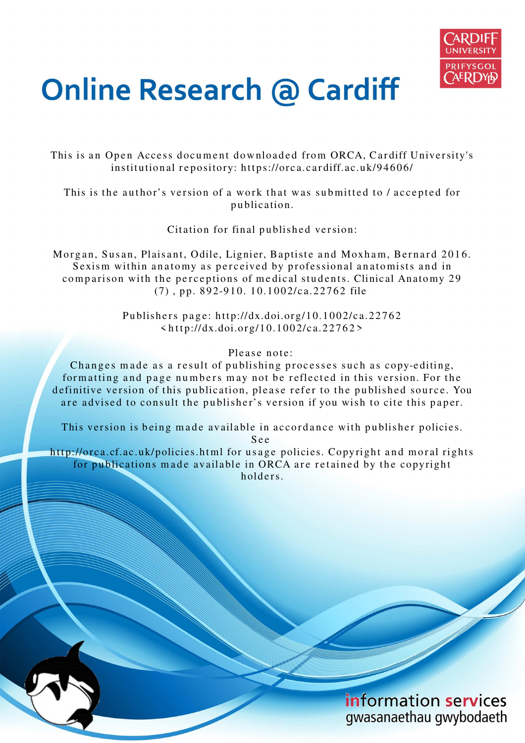

# **Online Research @ Cardiff**

This is an Open Access document downloaded from ORCA, Cardiff University's institutional repository: https://orca.cardiff.ac.uk/94606/

This is the author's version of a work that was submitted to / accepted for p u blication.

Citation for final published version:

Morgan, Susan, Plaisant, Odile, Lignier, Baptiste and Moxham, Bernard 2016. Sexism within anatomy as perceived by professional anatomists and in comparison with the perceptions of medical students. Clinical Anatomy 29  $(7)$ , pp. 892-910. 10.1002/ca.22762 file

> Publishers page: http://dx.doi.org/10.1002/ca.22762  $\frac{\sinh(t) - \sinh(t)}{2\pi}$  \ttp://dx.doi.org/10.1002/ca.22762>

> > Please note:

Changes made as a result of publishing processes such as copy-editing, formatting and page numbers may not be reflected in this version. For the definitive version of this publication, please refer to the published source. You are advised to consult the publisher's version if you wish to cite this paper.

This version is being made available in accordance with publisher policies.

S e e

http://orca.cf.ac.uk/policies.html for usage policies. Copyright and moral rights for publications made available in ORCA are retained by the copyright holders

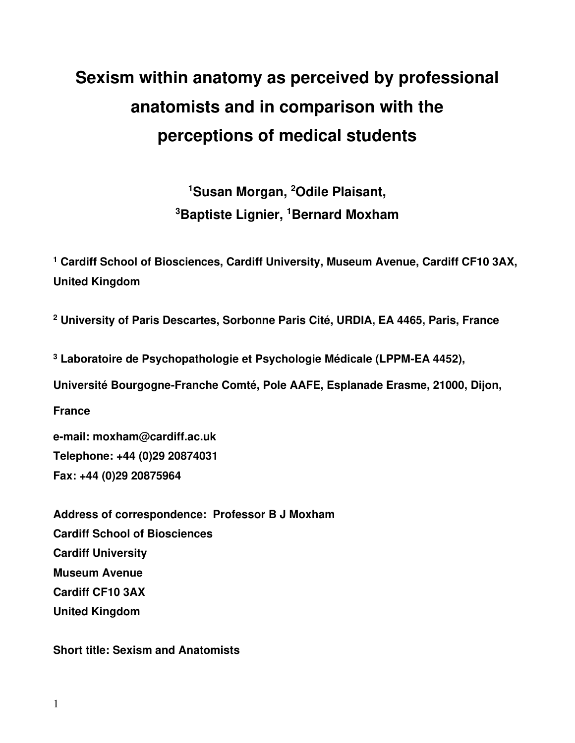# **Sexism within anatomy as perceived by professional anatomists and in comparison with the perceptions of medical students**

**<sup>1</sup>Susan Morgan, <sup>2</sup>Odile Plaisant, <sup>3</sup>Baptiste Lignier, <sup>1</sup>Bernard Moxham** 

<sup>1</sup> Cardiff School of Biosciences, Cardiff University, Museum Avenue, Cardiff CF10 3AX, **United Kingdom** 

**2 University of Paris Descartes, Sorbonne Paris Cité, URDIA, EA 4465, Paris, France** 

**3 Laboratoire de Psychopathologie et Psychologie Médicale (LPPM-EA 4452),** 

**Université Bourgogne-Franche Comté, Pole AAFE, Esplanade Erasme, 21000, Dijon,** 

**France** 

**e-mail: moxham@cardiff.ac.uk Telephone: +44 (0)29 20874031 Fax: +44 (0)29 20875964** 

**Address of correspondence: Professor B J Moxham Cardiff School of Biosciences Cardiff University Museum Avenue Cardiff CF10 3AX United Kingdom** 

**Short title: Sexism and Anatomists**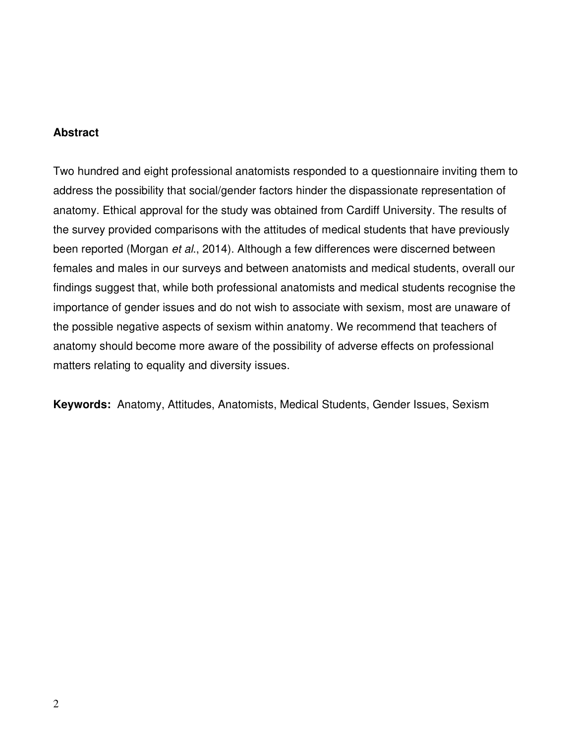# **Abstract**

Two hundred and eight professional anatomists responded to a questionnaire inviting them to address the possibility that social/gender factors hinder the dispassionate representation of anatomy. Ethical approval for the study was obtained from Cardiff University. The results of the survey provided comparisons with the attitudes of medical students that have previously been reported (Morgan et al., 2014). Although a few differences were discerned between females and males in our surveys and between anatomists and medical students, overall our findings suggest that, while both professional anatomists and medical students recognise the importance of gender issues and do not wish to associate with sexism, most are unaware of the possible negative aspects of sexism within anatomy. We recommend that teachers of anatomy should become more aware of the possibility of adverse effects on professional matters relating to equality and diversity issues.

**Keywords:** Anatomy, Attitudes, Anatomists, Medical Students, Gender Issues, Sexism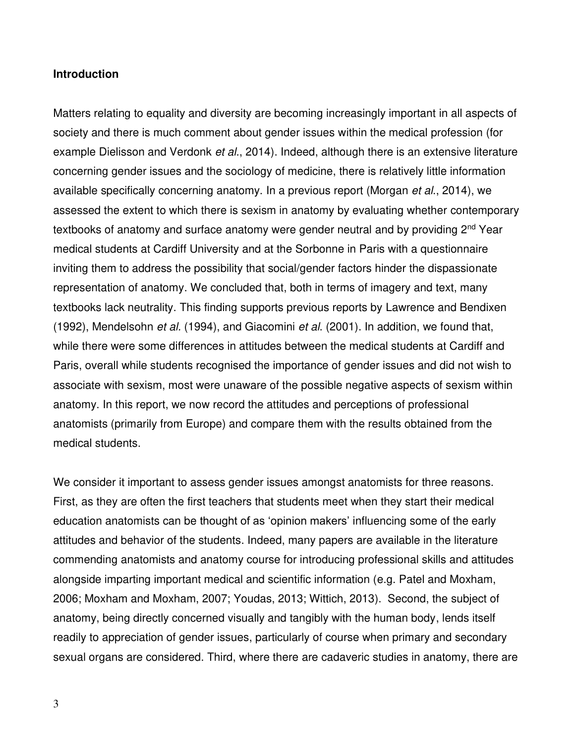#### **Introduction**

Matters relating to equality and diversity are becoming increasingly important in all aspects of society and there is much comment about gender issues within the medical profession (for example Dielisson and Verdonk et al., 2014). Indeed, although there is an extensive literature concerning gender issues and the sociology of medicine, there is relatively little information available specifically concerning anatomy. In a previous report (Morgan et al., 2014), we assessed the extent to which there is sexism in anatomy by evaluating whether contemporary textbooks of anatomy and surface anatomy were gender neutral and by providing 2<sup>nd</sup> Year medical students at Cardiff University and at the Sorbonne in Paris with a questionnaire inviting them to address the possibility that social/gender factors hinder the dispassionate representation of anatomy. We concluded that, both in terms of imagery and text, many textbooks lack neutrality. This finding supports previous reports by Lawrence and Bendixen (1992), Mendelsohn et al. (1994), and Giacomini et al. (2001). In addition, we found that, while there were some differences in attitudes between the medical students at Cardiff and Paris, overall while students recognised the importance of gender issues and did not wish to associate with sexism, most were unaware of the possible negative aspects of sexism within anatomy. In this report, we now record the attitudes and perceptions of professional anatomists (primarily from Europe) and compare them with the results obtained from the medical students.

We consider it important to assess gender issues amongst anatomists for three reasons. First, as they are often the first teachers that students meet when they start their medical education anatomists can be thought of as 'opinion makers' influencing some of the early attitudes and behavior of the students. Indeed, many papers are available in the literature commending anatomists and anatomy course for introducing professional skills and attitudes alongside imparting important medical and scientific information (e.g. Patel and Moxham, 2006; Moxham and Moxham, 2007; Youdas, 2013; Wittich, 2013). Second, the subject of anatomy, being directly concerned visually and tangibly with the human body, lends itself readily to appreciation of gender issues, particularly of course when primary and secondary sexual organs are considered. Third, where there are cadaveric studies in anatomy, there are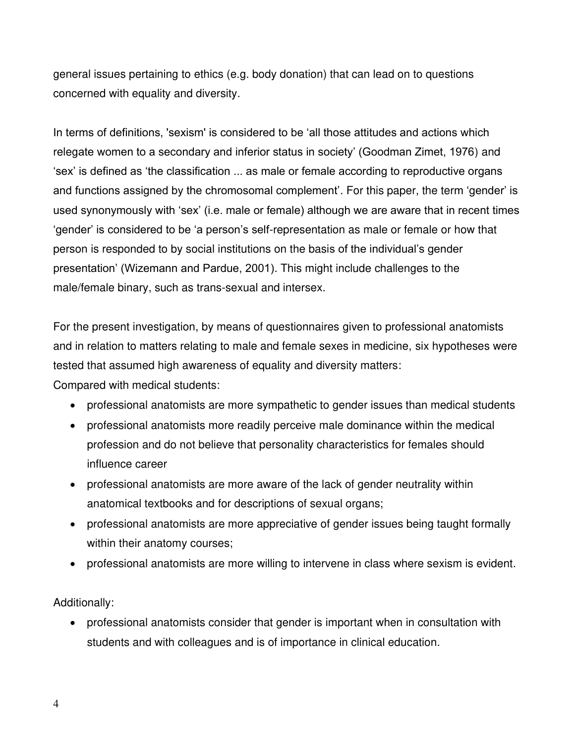general issues pertaining to ethics (e.g. body donation) that can lead on to questions concerned with equality and diversity.

In terms of definitions, 'sexism' is considered to be 'all those attitudes and actions which relegate women to a secondary and inferior status in society' (Goodman Zimet, 1976) and 'sex' is defined as 'the classification ... as male or female according to reproductive organs and functions assigned by the chromosomal complement'. For this paper, the term 'gender' is used synonymously with 'sex' (i.e. male or female) although we are aware that in recent times 'gender' is considered to be 'a person's self-representation as male or female or how that person is responded to by social institutions on the basis of the individual's gender presentation' (Wizemann and Pardue, 2001). This might include challenges to the male/female binary, such as trans-sexual and intersex.

For the present investigation, by means of questionnaires given to professional anatomists and in relation to matters relating to male and female sexes in medicine, six hypotheses were tested that assumed high awareness of equality and diversity matters: Compared with medical students:

- professional anatomists are more sympathetic to gender issues than medical students
- professional anatomists more readily perceive male dominance within the medical profession and do not believe that personality characteristics for females should influence career
- professional anatomists are more aware of the lack of gender neutrality within anatomical textbooks and for descriptions of sexual organs;
- professional anatomists are more appreciative of gender issues being taught formally within their anatomy courses;
- professional anatomists are more willing to intervene in class where sexism is evident.

Additionally:

• professional anatomists consider that gender is important when in consultation with students and with colleagues and is of importance in clinical education.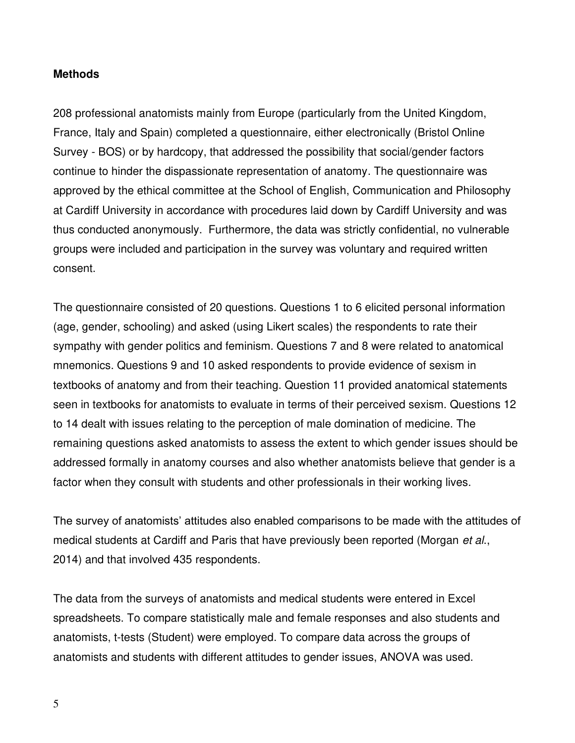### **Methods**

208 professional anatomists mainly from Europe (particularly from the United Kingdom, France, Italy and Spain) completed a questionnaire, either electronically (Bristol Online Survey - BOS) or by hardcopy, that addressed the possibility that social/gender factors continue to hinder the dispassionate representation of anatomy. The questionnaire was approved by the ethical committee at the School of English, Communication and Philosophy at Cardiff University in accordance with procedures laid down by Cardiff University and was thus conducted anonymously. Furthermore, the data was strictly confidential, no vulnerable groups were included and participation in the survey was voluntary and required written consent.

The questionnaire consisted of 20 questions. Questions 1 to 6 elicited personal information (age, gender, schooling) and asked (using Likert scales) the respondents to rate their sympathy with gender politics and feminism. Questions 7 and 8 were related to anatomical mnemonics. Questions 9 and 10 asked respondents to provide evidence of sexism in textbooks of anatomy and from their teaching. Question 11 provided anatomical statements seen in textbooks for anatomists to evaluate in terms of their perceived sexism. Questions 12 to 14 dealt with issues relating to the perception of male domination of medicine. The remaining questions asked anatomists to assess the extent to which gender issues should be addressed formally in anatomy courses and also whether anatomists believe that gender is a factor when they consult with students and other professionals in their working lives.

The survey of anatomists' attitudes also enabled comparisons to be made with the attitudes of medical students at Cardiff and Paris that have previously been reported (Morgan et al., 2014) and that involved 435 respondents.

The data from the surveys of anatomists and medical students were entered in Excel spreadsheets. To compare statistically male and female responses and also students and anatomists, t-tests (Student) were employed. To compare data across the groups of anatomists and students with different attitudes to gender issues, ANOVA was used.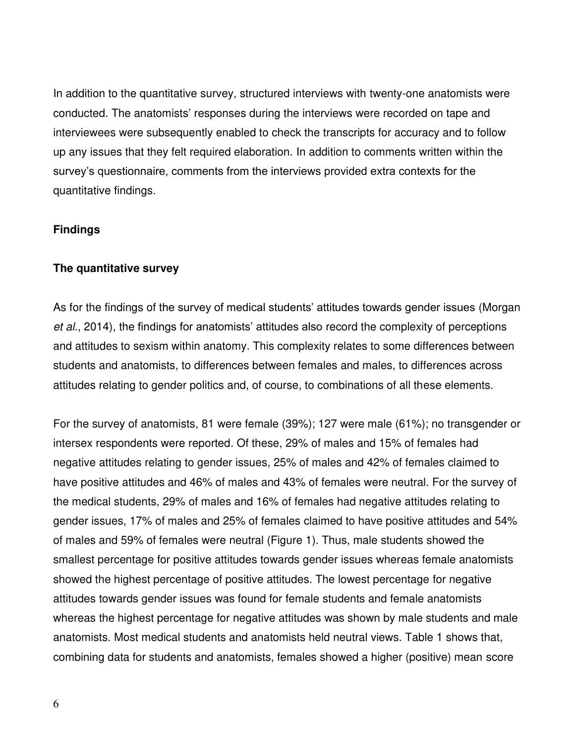In addition to the quantitative survey, structured interviews with twenty-one anatomists were conducted. The anatomists' responses during the interviews were recorded on tape and interviewees were subsequently enabled to check the transcripts for accuracy and to follow up any issues that they felt required elaboration. In addition to comments written within the survey's questionnaire, comments from the interviews provided extra contexts for the quantitative findings.

### **Findings**

### **The quantitative survey**

As for the findings of the survey of medical students' attitudes towards gender issues (Morgan et al., 2014), the findings for anatomists' attitudes also record the complexity of perceptions and attitudes to sexism within anatomy. This complexity relates to some differences between students and anatomists, to differences between females and males, to differences across attitudes relating to gender politics and, of course, to combinations of all these elements.

For the survey of anatomists, 81 were female (39%); 127 were male (61%); no transgender or intersex respondents were reported. Of these, 29% of males and 15% of females had negative attitudes relating to gender issues, 25% of males and 42% of females claimed to have positive attitudes and 46% of males and 43% of females were neutral. For the survey of the medical students, 29% of males and 16% of females had negative attitudes relating to gender issues, 17% of males and 25% of females claimed to have positive attitudes and 54% of males and 59% of females were neutral (Figure 1). Thus, male students showed the smallest percentage for positive attitudes towards gender issues whereas female anatomists showed the highest percentage of positive attitudes. The lowest percentage for negative attitudes towards gender issues was found for female students and female anatomists whereas the highest percentage for negative attitudes was shown by male students and male anatomists. Most medical students and anatomists held neutral views. Table 1 shows that, combining data for students and anatomists, females showed a higher (positive) mean score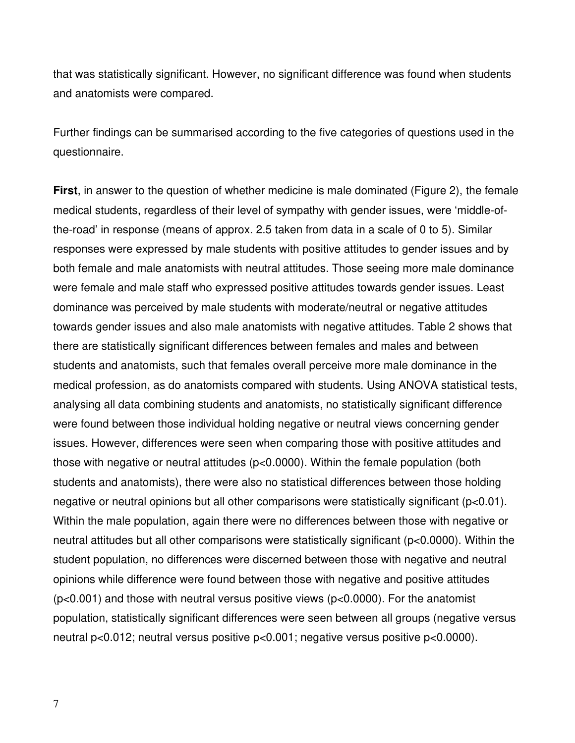that was statistically significant. However, no significant difference was found when students and anatomists were compared.

Further findings can be summarised according to the five categories of questions used in the questionnaire.

**First**, in answer to the question of whether medicine is male dominated (Figure 2), the female medical students, regardless of their level of sympathy with gender issues, were 'middle-ofthe-road' in response (means of approx. 2.5 taken from data in a scale of 0 to 5). Similar responses were expressed by male students with positive attitudes to gender issues and by both female and male anatomists with neutral attitudes. Those seeing more male dominance were female and male staff who expressed positive attitudes towards gender issues. Least dominance was perceived by male students with moderate/neutral or negative attitudes towards gender issues and also male anatomists with negative attitudes. Table 2 shows that there are statistically significant differences between females and males and between students and anatomists, such that females overall perceive more male dominance in the medical profession, as do anatomists compared with students. Using ANOVA statistical tests, analysing all data combining students and anatomists, no statistically significant difference were found between those individual holding negative or neutral views concerning gender issues. However, differences were seen when comparing those with positive attitudes and those with negative or neutral attitudes (p<0.0000). Within the female population (both students and anatomists), there were also no statistical differences between those holding negative or neutral opinions but all other comparisons were statistically significant (p<0.01). Within the male population, again there were no differences between those with negative or neutral attitudes but all other comparisons were statistically significant (p<0.0000). Within the student population, no differences were discerned between those with negative and neutral opinions while difference were found between those with negative and positive attitudes (p<0.001) and those with neutral versus positive views (p<0.0000). For the anatomist population, statistically significant differences were seen between all groups (negative versus neutral p<0.012; neutral versus positive p<0.001; negative versus positive p<0.0000).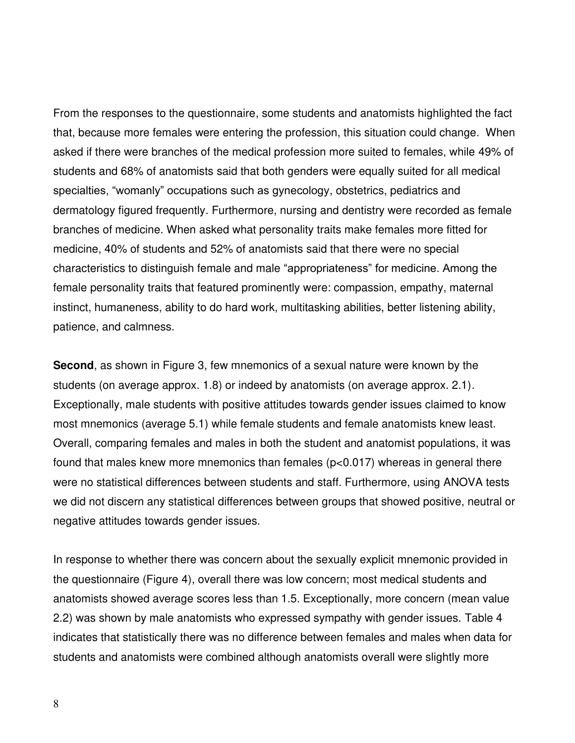From the responses to the questionnaire, some students and anatomists highlighted the fact that, because more females were entering the profession, this situation could change. When asked if there were branches of the medical profession more suited to females, while 49% of students and 68% of anatomists said that both genders were equally suited for all medical specialties, "womanly" occupations such as gynecology, obstetrics, pediatrics and dermatology figured frequently. Furthermore, nursing and dentistry were recorded as female branches of medicine. When asked what personality traits make females more fitted for medicine, 40% of students and 52% of anatomists said that there were no special characteristics to distinguish female and male "appropriateness" for medicine. Among the female personality traits that featured prominently were: compassion, empathy, maternal instinct, humaneness, ability to do hard work, multitasking abilities, better listening ability, patience, and calmness.

**Second**, as shown in Figure 3, few mnemonics of a sexual nature were known by the students (on average approx. 1.8) or indeed by anatomists (on average approx. 2.1). Exceptionally, male students with positive attitudes towards gender issues claimed to know most mnemonics (average 5.1) while female students and female anatomists knew least. Overall, comparing females and males in both the student and anatomist populations, it was found that males knew more mnemonics than females (p<0.017) whereas in general there were no statistical differences between students and staff. Furthermore, using ANOVA tests we did not discern any statistical differences between groups that showed positive, neutral or negative attitudes towards gender issues.

In response to whether there was concern about the sexually explicit mnemonic provided in the questionnaire (Figure 4), overall there was low concern; most medical students and anatomists showed average scores less than 1.5. Exceptionally, more concern (mean value 2.2) was shown by male anatomists who expressed sympathy with gender issues. Table 4 indicates that statistically there was no difference between females and males when data for students and anatomists were combined although anatomists overall were slightly more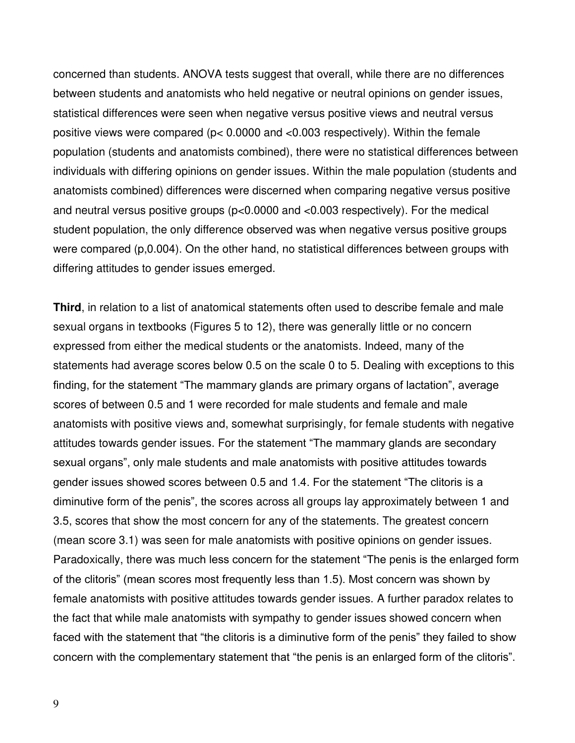concerned than students. ANOVA tests suggest that overall, while there are no differences between students and anatomists who held negative or neutral opinions on gender issues, statistical differences were seen when negative versus positive views and neutral versus positive views were compared (p< 0.0000 and <0.003 respectively). Within the female population (students and anatomists combined), there were no statistical differences between individuals with differing opinions on gender issues. Within the male population (students and anatomists combined) differences were discerned when comparing negative versus positive and neutral versus positive groups (p<0.0000 and <0.003 respectively). For the medical student population, the only difference observed was when negative versus positive groups were compared (p,0.004). On the other hand, no statistical differences between groups with differing attitudes to gender issues emerged.

**Third**, in relation to a list of anatomical statements often used to describe female and male sexual organs in textbooks (Figures 5 to 12), there was generally little or no concern expressed from either the medical students or the anatomists. Indeed, many of the statements had average scores below 0.5 on the scale 0 to 5. Dealing with exceptions to this finding, for the statement "The mammary glands are primary organs of lactation", average scores of between 0.5 and 1 were recorded for male students and female and male anatomists with positive views and, somewhat surprisingly, for female students with negative attitudes towards gender issues. For the statement "The mammary glands are secondary sexual organs", only male students and male anatomists with positive attitudes towards gender issues showed scores between 0.5 and 1.4. For the statement "The clitoris is a diminutive form of the penis", the scores across all groups lay approximately between 1 and 3.5, scores that show the most concern for any of the statements. The greatest concern (mean score 3.1) was seen for male anatomists with positive opinions on gender issues. Paradoxically, there was much less concern for the statement "The penis is the enlarged form of the clitoris" (mean scores most frequently less than 1.5). Most concern was shown by female anatomists with positive attitudes towards gender issues. A further paradox relates to the fact that while male anatomists with sympathy to gender issues showed concern when faced with the statement that "the clitoris is a diminutive form of the penis" they failed to show concern with the complementary statement that "the penis is an enlarged form of the clitoris".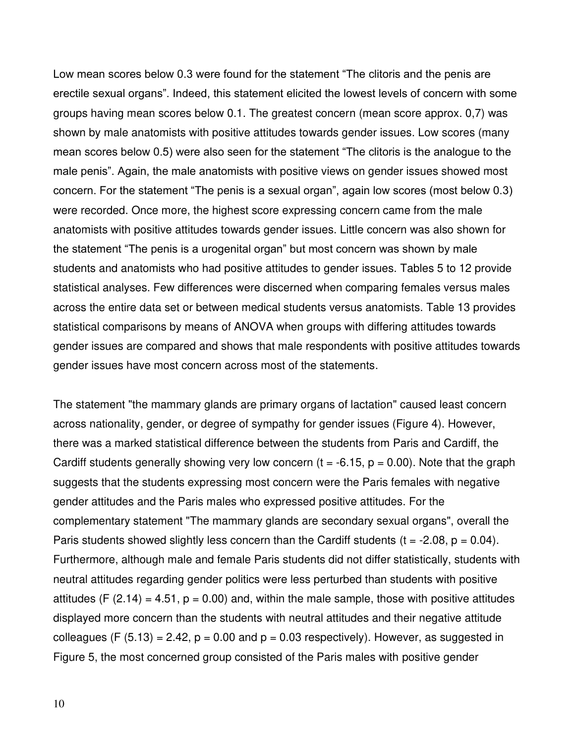Low mean scores below 0.3 were found for the statement "The clitoris and the penis are erectile sexual organs". Indeed, this statement elicited the lowest levels of concern with some groups having mean scores below 0.1. The greatest concern (mean score approx. 0,7) was shown by male anatomists with positive attitudes towards gender issues. Low scores (many mean scores below 0.5) were also seen for the statement "The clitoris is the analogue to the male penis". Again, the male anatomists with positive views on gender issues showed most concern. For the statement "The penis is a sexual organ", again low scores (most below 0.3) were recorded. Once more, the highest score expressing concern came from the male anatomists with positive attitudes towards gender issues. Little concern was also shown for the statement "The penis is a urogenital organ" but most concern was shown by male students and anatomists who had positive attitudes to gender issues. Tables 5 to 12 provide statistical analyses. Few differences were discerned when comparing females versus males across the entire data set or between medical students versus anatomists. Table 13 provides statistical comparisons by means of ANOVA when groups with differing attitudes towards gender issues are compared and shows that male respondents with positive attitudes towards gender issues have most concern across most of the statements.

The statement "the mammary glands are primary organs of lactation" caused least concern across nationality, gender, or degree of sympathy for gender issues (Figure 4). However, there was a marked statistical difference between the students from Paris and Cardiff, the Cardiff students generally showing very low concern ( $t = -6.15$ ,  $p = 0.00$ ). Note that the graph suggests that the students expressing most concern were the Paris females with negative gender attitudes and the Paris males who expressed positive attitudes. For the complementary statement "The mammary glands are secondary sexual organs", overall the Paris students showed slightly less concern than the Cardiff students ( $t = -2.08$ ,  $p = 0.04$ ). Furthermore, although male and female Paris students did not differ statistically, students with neutral attitudes regarding gender politics were less perturbed than students with positive attitudes (F  $(2.14) = 4.51$ ,  $p = 0.00$ ) and, within the male sample, those with positive attitudes displayed more concern than the students with neutral attitudes and their negative attitude colleagues (F  $(5.13) = 2.42$ ,  $p = 0.00$  and  $p = 0.03$  respectively). However, as suggested in Figure 5, the most concerned group consisted of the Paris males with positive gender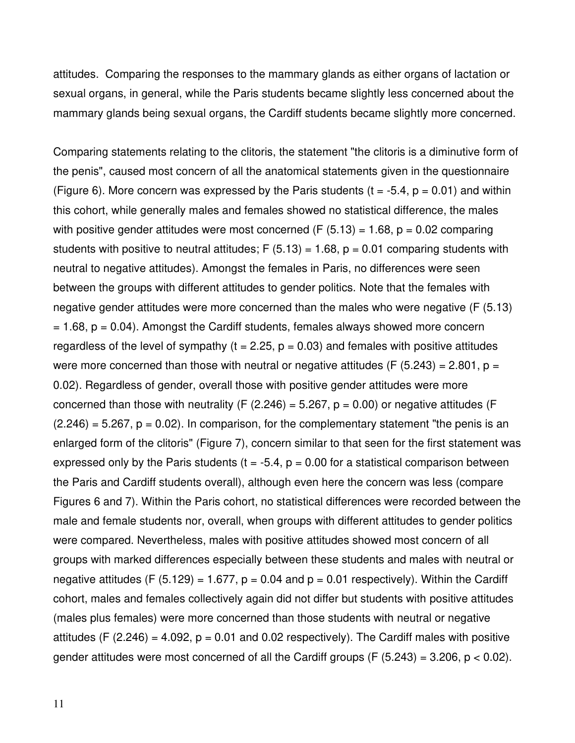attitudes. Comparing the responses to the mammary glands as either organs of lactation or sexual organs, in general, while the Paris students became slightly less concerned about the mammary glands being sexual organs, the Cardiff students became slightly more concerned.

Comparing statements relating to the clitoris, the statement "the clitoris is a diminutive form of the penis", caused most concern of all the anatomical statements given in the questionnaire (Figure 6). More concern was expressed by the Paris students ( $t = -5.4$ ,  $p = 0.01$ ) and within this cohort, while generally males and females showed no statistical difference, the males with positive gender attitudes were most concerned (F  $(5.13) = 1.68$ ,  $p = 0.02$  comparing students with positive to neutral attitudes;  $F(5.13) = 1.68$ ,  $p = 0.01$  comparing students with neutral to negative attitudes). Amongst the females in Paris, no differences were seen between the groups with different attitudes to gender politics. Note that the females with negative gender attitudes were more concerned than the males who were negative (F (5.13)  $= 1.68$ ,  $p = 0.04$ ). Amongst the Cardiff students, females always showed more concern regardless of the level of sympathy ( $t = 2.25$ ,  $p = 0.03$ ) and females with positive attitudes were more concerned than those with neutral or negative attitudes (F  $(5.243) = 2.801$ , p = 0.02). Regardless of gender, overall those with positive gender attitudes were more concerned than those with neutrality (F (2.246) = 5.267,  $p = 0.00$ ) or negative attitudes (F  $(2.246) = 5.267$ ,  $p = 0.02$ ). In comparison, for the complementary statement "the penis is an enlarged form of the clitoris" (Figure 7), concern similar to that seen for the first statement was expressed only by the Paris students ( $t = -5.4$ ,  $p = 0.00$  for a statistical comparison between the Paris and Cardiff students overall), although even here the concern was less (compare Figures 6 and 7). Within the Paris cohort, no statistical differences were recorded between the male and female students nor, overall, when groups with different attitudes to gender politics were compared. Nevertheless, males with positive attitudes showed most concern of all groups with marked differences especially between these students and males with neutral or negative attitudes (F (5.129) = 1.677,  $p = 0.04$  and  $p = 0.01$  respectively). Within the Cardiff cohort, males and females collectively again did not differ but students with positive attitudes (males plus females) were more concerned than those students with neutral or negative attitudes (F  $(2.246) = 4.092$ ,  $p = 0.01$  and 0.02 respectively). The Cardiff males with positive gender attitudes were most concerned of all the Cardiff groups (F  $(5.243) = 3.206$ ,  $p < 0.02$ ).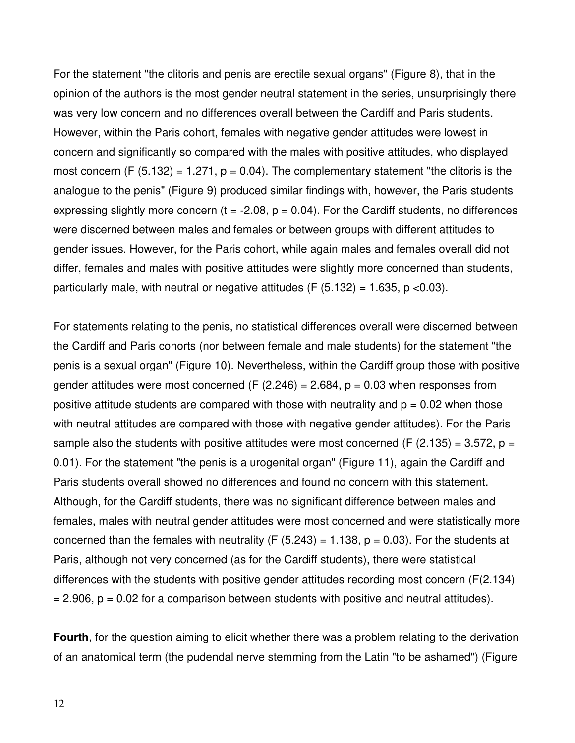For the statement "the clitoris and penis are erectile sexual organs" (Figure 8), that in the opinion of the authors is the most gender neutral statement in the series, unsurprisingly there was very low concern and no differences overall between the Cardiff and Paris students. However, within the Paris cohort, females with negative gender attitudes were lowest in concern and significantly so compared with the males with positive attitudes, who displayed most concern  $(F (5.132) = 1.271, p = 0.04)$ . The complementary statement "the clitoris is the analogue to the penis" (Figure 9) produced similar findings with, however, the Paris students expressing slightly more concern ( $t = -2.08$ ,  $p = 0.04$ ). For the Cardiff students, no differences were discerned between males and females or between groups with different attitudes to gender issues. However, for the Paris cohort, while again males and females overall did not differ, females and males with positive attitudes were slightly more concerned than students, particularly male, with neutral or negative attitudes (F  $(5.132) = 1.635$ , p <0.03).

For statements relating to the penis, no statistical differences overall were discerned between the Cardiff and Paris cohorts (nor between female and male students) for the statement "the penis is a sexual organ" (Figure 10). Nevertheless, within the Cardiff group those with positive gender attitudes were most concerned (F  $(2.246) = 2.684$ ,  $p = 0.03$  when responses from positive attitude students are compared with those with neutrality and  $p = 0.02$  when those with neutral attitudes are compared with those with negative gender attitudes). For the Paris sample also the students with positive attitudes were most concerned (F (2.135) = 3.572, p = 0.01). For the statement "the penis is a urogenital organ" (Figure 11), again the Cardiff and Paris students overall showed no differences and found no concern with this statement. Although, for the Cardiff students, there was no significant difference between males and females, males with neutral gender attitudes were most concerned and were statistically more concerned than the females with neutrality (F  $(5.243) = 1.138$ ,  $p = 0.03$ ). For the students at Paris, although not very concerned (as for the Cardiff students), there were statistical differences with the students with positive gender attitudes recording most concern (F(2.134)  $= 2.906$ ,  $p = 0.02$  for a comparison between students with positive and neutral attitudes).

**Fourth**, for the question aiming to elicit whether there was a problem relating to the derivation of an anatomical term (the pudendal nerve stemming from the Latin "to be ashamed") (Figure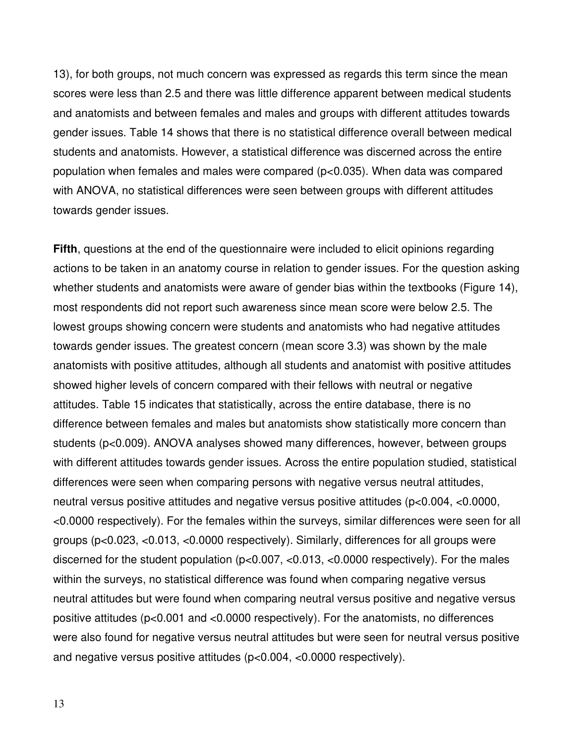13), for both groups, not much concern was expressed as regards this term since the mean scores were less than 2.5 and there was little difference apparent between medical students and anatomists and between females and males and groups with different attitudes towards gender issues. Table 14 shows that there is no statistical difference overall between medical students and anatomists. However, a statistical difference was discerned across the entire population when females and males were compared (p<0.035). When data was compared with ANOVA, no statistical differences were seen between groups with different attitudes towards gender issues.

**Fifth**, questions at the end of the questionnaire were included to elicit opinions regarding actions to be taken in an anatomy course in relation to gender issues. For the question asking whether students and anatomists were aware of gender bias within the textbooks (Figure 14), most respondents did not report such awareness since mean score were below 2.5. The lowest groups showing concern were students and anatomists who had negative attitudes towards gender issues. The greatest concern (mean score 3.3) was shown by the male anatomists with positive attitudes, although all students and anatomist with positive attitudes showed higher levels of concern compared with their fellows with neutral or negative attitudes. Table 15 indicates that statistically, across the entire database, there is no difference between females and males but anatomists show statistically more concern than students (p<0.009). ANOVA analyses showed many differences, however, between groups with different attitudes towards gender issues. Across the entire population studied, statistical differences were seen when comparing persons with negative versus neutral attitudes, neutral versus positive attitudes and negative versus positive attitudes (p<0.004, <0.0000, <0.0000 respectively). For the females within the surveys, similar differences were seen for all groups (p<0.023, <0.013, <0.0000 respectively). Similarly, differences for all groups were discerned for the student population (p<0.007, <0.013, <0.0000 respectively). For the males within the surveys, no statistical difference was found when comparing negative versus neutral attitudes but were found when comparing neutral versus positive and negative versus positive attitudes (p<0.001 and <0.0000 respectively). For the anatomists, no differences were also found for negative versus neutral attitudes but were seen for neutral versus positive and negative versus positive attitudes (p<0.004, <0.0000 respectively).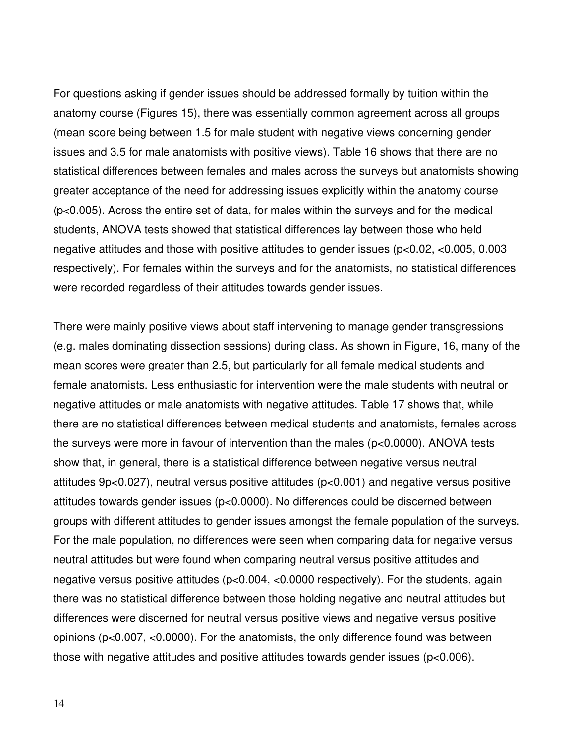For questions asking if gender issues should be addressed formally by tuition within the anatomy course (Figures 15), there was essentially common agreement across all groups (mean score being between 1.5 for male student with negative views concerning gender issues and 3.5 for male anatomists with positive views). Table 16 shows that there are no statistical differences between females and males across the surveys but anatomists showing greater acceptance of the need for addressing issues explicitly within the anatomy course (p<0.005). Across the entire set of data, for males within the surveys and for the medical students, ANOVA tests showed that statistical differences lay between those who held negative attitudes and those with positive attitudes to gender issues (p<0.02, <0.005, 0.003 respectively). For females within the surveys and for the anatomists, no statistical differences were recorded regardless of their attitudes towards gender issues.

There were mainly positive views about staff intervening to manage gender transgressions (e.g. males dominating dissection sessions) during class. As shown in Figure, 16, many of the mean scores were greater than 2.5, but particularly for all female medical students and female anatomists. Less enthusiastic for intervention were the male students with neutral or negative attitudes or male anatomists with negative attitudes. Table 17 shows that, while there are no statistical differences between medical students and anatomists, females across the surveys were more in favour of intervention than the males (p<0.0000). ANOVA tests show that, in general, there is a statistical difference between negative versus neutral attitudes 9p<0.027), neutral versus positive attitudes (p<0.001) and negative versus positive attitudes towards gender issues (p<0.0000). No differences could be discerned between groups with different attitudes to gender issues amongst the female population of the surveys. For the male population, no differences were seen when comparing data for negative versus neutral attitudes but were found when comparing neutral versus positive attitudes and negative versus positive attitudes (p<0.004, <0.0000 respectively). For the students, again there was no statistical difference between those holding negative and neutral attitudes but differences were discerned for neutral versus positive views and negative versus positive opinions (p<0.007, <0.0000). For the anatomists, the only difference found was between those with negative attitudes and positive attitudes towards gender issues (p<0.006).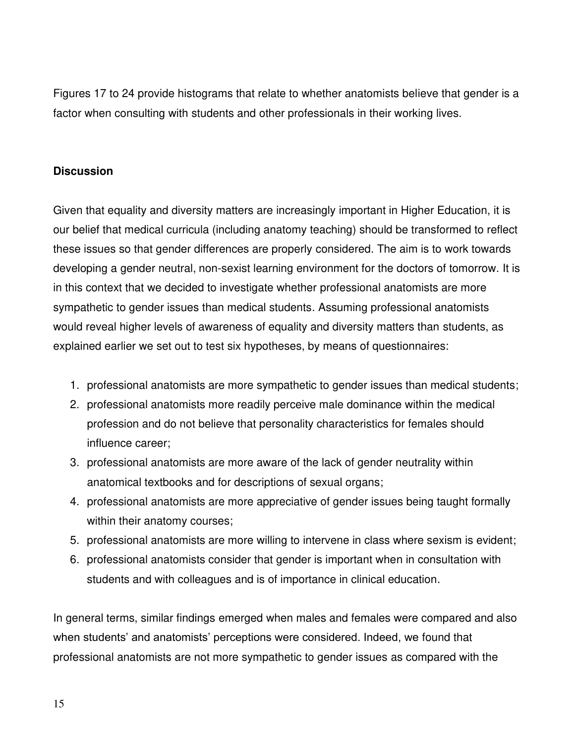Figures 17 to 24 provide histograms that relate to whether anatomists believe that gender is a factor when consulting with students and other professionals in their working lives.

# **Discussion**

Given that equality and diversity matters are increasingly important in Higher Education, it is our belief that medical curricula (including anatomy teaching) should be transformed to reflect these issues so that gender differences are properly considered. The aim is to work towards developing a gender neutral, non-sexist learning environment for the doctors of tomorrow. It is in this context that we decided to investigate whether professional anatomists are more sympathetic to gender issues than medical students. Assuming professional anatomists would reveal higher levels of awareness of equality and diversity matters than students, as explained earlier we set out to test six hypotheses, by means of questionnaires:

- 1. professional anatomists are more sympathetic to gender issues than medical students;
- 2. professional anatomists more readily perceive male dominance within the medical profession and do not believe that personality characteristics for females should influence career;
- 3. professional anatomists are more aware of the lack of gender neutrality within anatomical textbooks and for descriptions of sexual organs;
- 4. professional anatomists are more appreciative of gender issues being taught formally within their anatomy courses;
- 5. professional anatomists are more willing to intervene in class where sexism is evident;
- 6. professional anatomists consider that gender is important when in consultation with students and with colleagues and is of importance in clinical education.

In general terms, similar findings emerged when males and females were compared and also when students' and anatomists' perceptions were considered. Indeed, we found that professional anatomists are not more sympathetic to gender issues as compared with the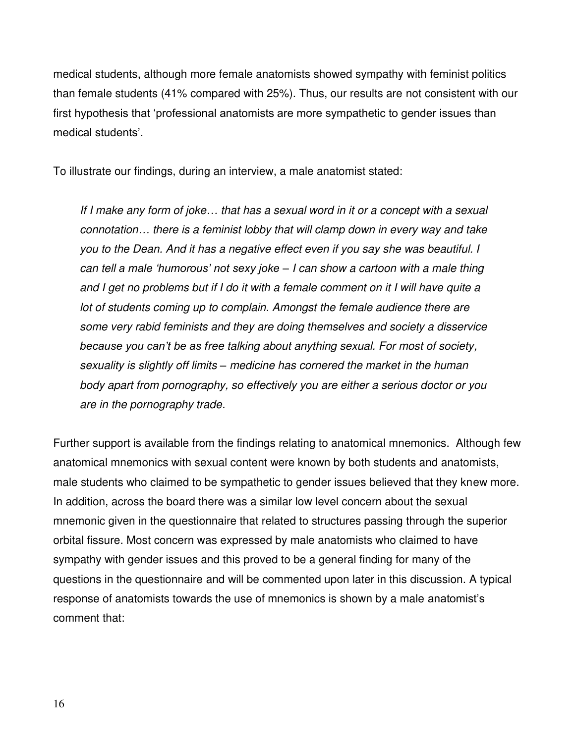medical students, although more female anatomists showed sympathy with feminist politics than female students (41% compared with 25%). Thus, our results are not consistent with our first hypothesis that 'professional anatomists are more sympathetic to gender issues than medical students'.

To illustrate our findings, during an interview, a male anatomist stated:

If I make any form of joke*…* that has a sexual word in it or a concept with a sexual connotation*…* there is a feminist lobby that will clamp down in every way and take you to the Dean. And it has a negative effect even if you say she was beautiful. I can tell *a male 'humorous' not sexy joke –* I can show a cartoon with a male thing and I get no problems but if I do it with a female comment on it I will have quite a lot of students coming up to complain. Amongst the female audience there are some very rabid feminists and they are doing themselves and society a disservice *because you can't be as f*ree talking about anything sexual. For most of society, sexuality is slightly off limits *–* medicine has cornered the market in the human body apart from pornography, so effectively you are either a serious doctor or you are in the pornography trade.

Further support is available from the findings relating to anatomical mnemonics. Although few anatomical mnemonics with sexual content were known by both students and anatomists, male students who claimed to be sympathetic to gender issues believed that they knew more. In addition, across the board there was a similar low level concern about the sexual mnemonic given in the questionnaire that related to structures passing through the superior orbital fissure. Most concern was expressed by male anatomists who claimed to have sympathy with gender issues and this proved to be a general finding for many of the questions in the questionnaire and will be commented upon later in this discussion. A typical response of anatomists towards the use of mnemonics is shown by a male anatomist's comment that: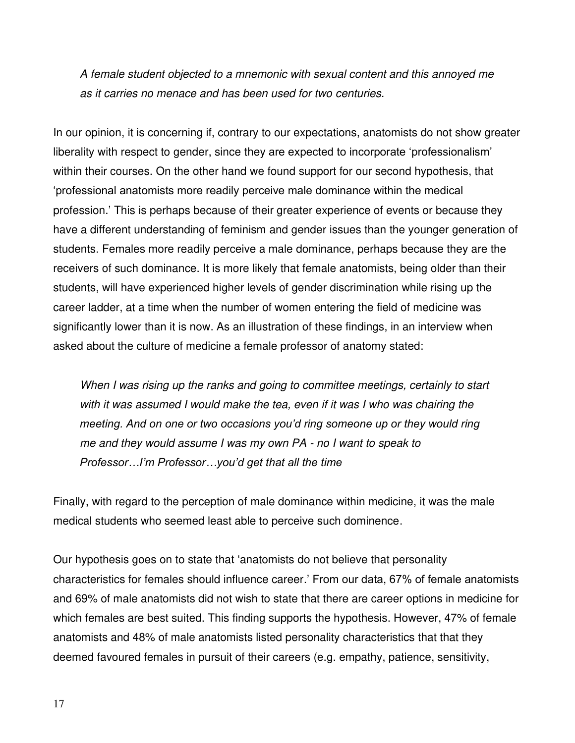A female student objected to a mnemonic with sexual content and this annoyed me as it carries no menace and has been used for two centuries.

In our opinion, it is concerning if, contrary to our expectations, anatomists do not show greater liberality with respect to gender, since they are expected to incorporate 'professionalism' within their courses. On the other hand we found support for our second hypothesis, that 'professional anatomists more readily perceive male dominance within the medical profession.' This is perhaps because of their greater experience of events or because they have a different understanding of feminism and gender issues than the younger generation of students. Females more readily perceive a male dominance, perhaps because they are the receivers of such dominance. It is more likely that female anatomists, being older than their students, will have experienced higher levels of gender discrimination while rising up the career ladder, at a time when the number of women entering the field of medicine was significantly lower than it is now. As an illustration of these findings, in an interview when asked about the culture of medicine a female professor of anatomy stated:

When I was rising up the ranks and going to committee meetings, certainly to start with it was assumed I would make the tea, even if it was I who was chairing the *meeting. And on one or two occasions you'd ring someone up or they would ring* me and they would assume I was my own PA - no I want to speak to *Professor…I'm Professor…you'd get that all the time* 

Finally, with regard to the perception of male dominance within medicine, it was the male medical students who seemed least able to perceive such dominence.

Our hypothesis goes on to state that 'anatomists do not believe that personality characteristics for females should influence career.' From our data, 67% of female anatomists and 69% of male anatomists did not wish to state that there are career options in medicine for which females are best suited. This finding supports the hypothesis. However, 47% of female anatomists and 48% of male anatomists listed personality characteristics that that they deemed favoured females in pursuit of their careers (e.g. empathy, patience, sensitivity,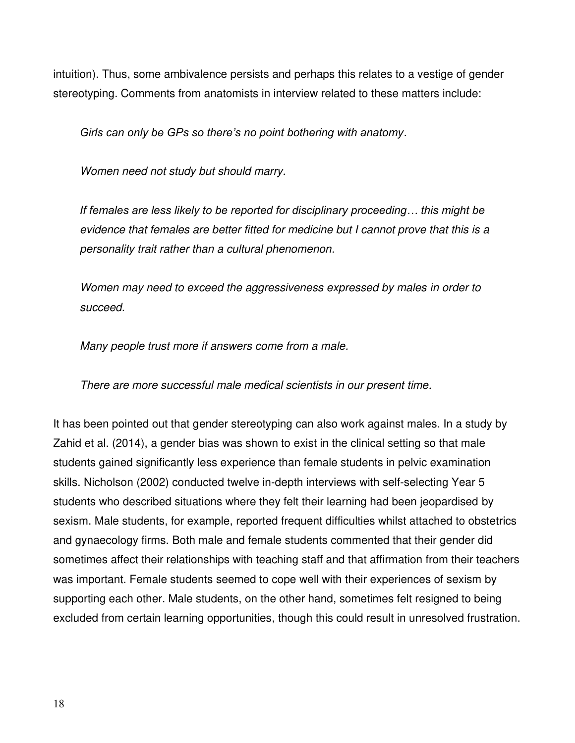intuition). Thus, some ambivalence persists and perhaps this relates to a vestige of gender stereotyping. Comments from anatomists in interview related to these matters include:

*Girls can only be GPs so there's no point bothering with anatomy*.

Women need not study but should marry.

*If females are less likely to be reported for disciplinary proceeding… this might be*  evidence that females are better fitted for medicine but I cannot prove that this is a personality trait rather than a cultural phenomenon.

Women may need to exceed the aggressiveness expressed by males in order to succeed.

Many people trust more if answers come from a male.

There are more successful male medical scientists in our present time.

It has been pointed out that gender stereotyping can also work against males. In a study by Zahid et al. (2014), a gender bias was shown to exist in the clinical setting so that male students gained significantly less experience than female students in pelvic examination skills. Nicholson (2002) conducted twelve in-depth interviews with self-selecting Year 5 students who described situations where they felt their learning had been jeopardised by sexism. Male students, for example, reported frequent difficulties whilst attached to obstetrics and gynaecology firms. Both male and female students commented that their gender did sometimes affect their relationships with teaching staff and that affirmation from their teachers was important. Female students seemed to cope well with their experiences of sexism by supporting each other. Male students, on the other hand, sometimes felt resigned to being excluded from certain learning opportunities, though this could result in unresolved frustration.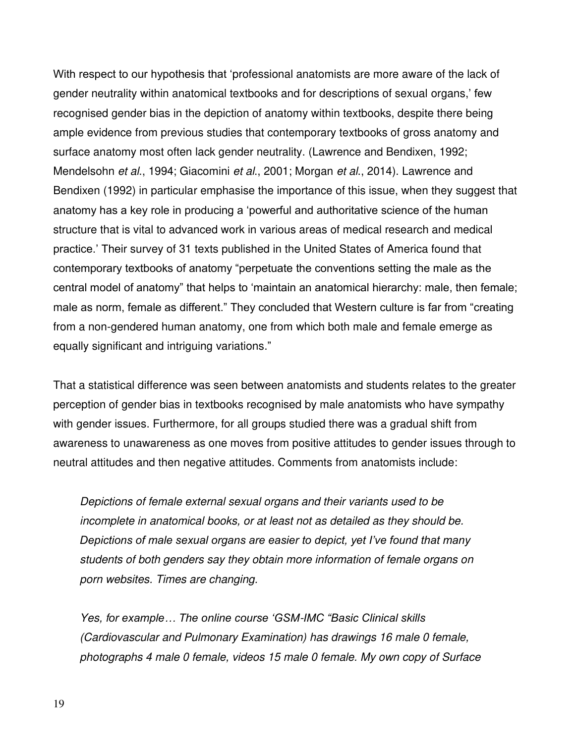With respect to our hypothesis that 'professional anatomists are more aware of the lack of gender neutrality within anatomical textbooks and for descriptions of sexual organs,' few recognised gender bias in the depiction of anatomy within textbooks, despite there being ample evidence from previous studies that contemporary textbooks of gross anatomy and surface anatomy most often lack gender neutrality. (Lawrence and Bendixen, 1992; Mendelsohn et al., 1994; Giacomini et al., 2001; Morgan et al., 2014). Lawrence and Bendixen (1992) in particular emphasise the importance of this issue, when they suggest that anatomy has a key role in producing a 'powerful and authoritative science of the human structure that is vital to advanced work in various areas of medical research and medical practice.' Their survey of 31 texts published in the United States of America found that contemporary textbooks of anatomy "perpetuate the conventions setting the male as the central model of anatomy" that helps to 'maintain an anatomical hierarchy: male, then female; male as norm, female as different." They concluded that Western culture is far from "creating from a non-gendered human anatomy, one from which both male and female emerge as equally significant and intriguing variations."

That a statistical difference was seen between anatomists and students relates to the greater perception of gender bias in textbooks recognised by male anatomists who have sympathy with gender issues. Furthermore, for all groups studied there was a gradual shift from awareness to unawareness as one moves from positive attitudes to gender issues through to neutral attitudes and then negative attitudes. Comments from anatomists include:

Depictions of female external sexual organs and their variants used to be incomplete in anatomical books, or at least not as detailed as they should be. *Depictions of male sexual organs are easier to depict, yet I've found that many*  students of both genders say they obtain more information of female organs on porn websites. Times are changing.

Yes, f*or example… The online course 'GSM*-*IMC "Basic Clinical skills* (Cardiovascular and Pulmonary Examination) has drawings 16 male 0 female, photographs 4 male 0 female, videos 15 male 0 female. My own copy of Surface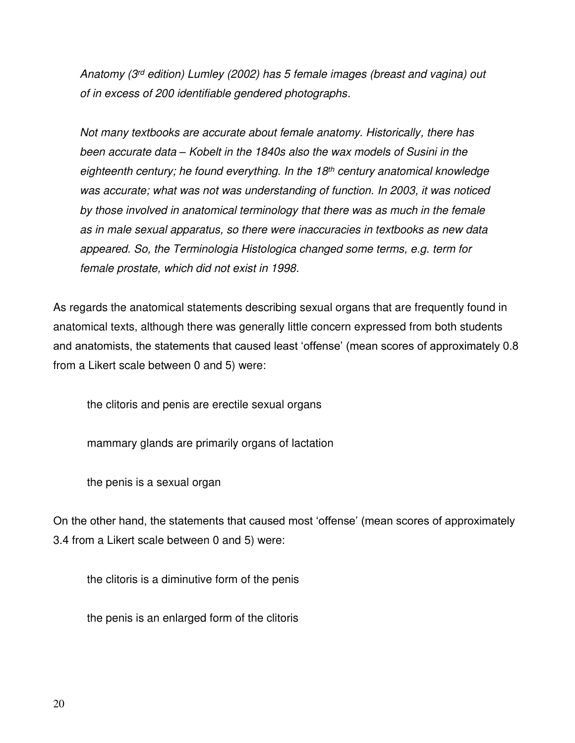Anatomy (3rd edition) Lumley (2002) has 5 female images (breast and vagina) out of in excess of 200 identifiable gendered photographs.

Not many textbooks are accurate about female anatomy. Historically, there has been accurate data *–* Kobelt in the 1840s also the wax models of Susini in the eighteenth century; he found everything. In the  $18<sup>th</sup>$  century anatomical knowledge was accurate; what was not was understanding of function. In 2003, it was noticed by those involved in anatomical terminology that there was as much in the female as in male sexual apparatus, so there were inaccuracies in textbooks as new data appeared. So, the Terminologia Histologica changed some terms, e.g. term for female prostate, which did not exist in 1998.

As regards the anatomical statements describing sexual organs that are frequently found in anatomical texts, although there was generally little concern expressed from both students and anatomists, the statements that caused least 'offense' (mean scores of approximately 0.8 from a Likert scale between 0 and 5) were:

the clitoris and penis are erectile sexual organs

mammary glands are primarily organs of lactation

the penis is a sexual organ

On the other hand, the statements that caused most 'offense' (mean scores of approximately 3.4 from a Likert scale between 0 and 5) were:

the clitoris is a diminutive form of the penis

the penis is an enlarged form of the clitoris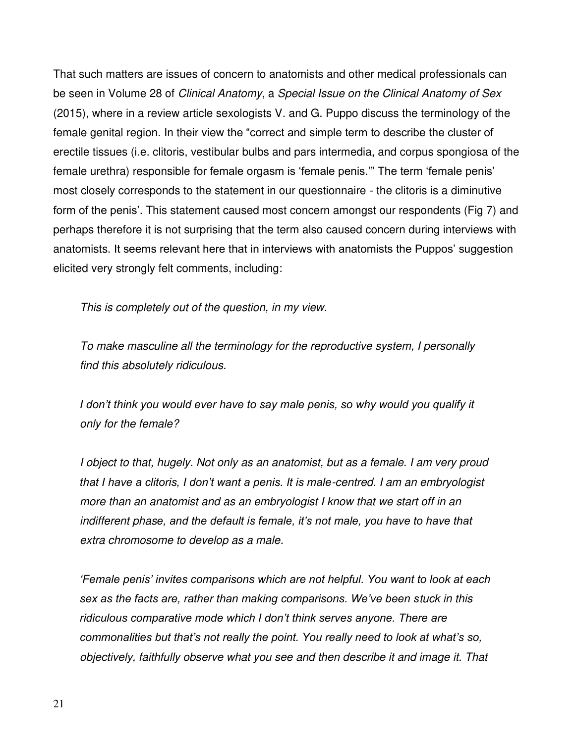That such matters are issues of concern to anatomists and other medical professionals can be seen in Volume 28 of Clinical Anatomy, a Special Issue on the Clinical Anatomy of Sex (2015), where in a review article sexologists V. and G. Puppo discuss the terminology of the female genital region. In their view the "correct and simple term to describe the cluster of erectile tissues (i.e. clitoris, vestibular bulbs and pars intermedia, and corpus spongiosa of the female urethra) responsible for female orgasm is 'female penis.'" The term 'female penis' most closely corresponds to the statement in our questionnaire - the clitoris is a diminutive form of the penis'. This statement caused most concern amongst our respondents (Fig 7) and perhaps therefore it is not surprising that the term also caused concern during interviews with anatomists. It seems relevant here that in interviews with anatomists the Puppos' suggestion elicited very strongly felt comments, including:

This is completely out of the question, in my view.

To make masculine all the terminology for the reproductive system, I personally find this absolutely ridiculous.

*I don't think you would ever have to say male penis, so why would you qualify it* only for the female?

I object to that, hugely. Not only as an anatomist, but as a female. I am very proud *that I have a clitoris, I don't want a penis. It is male*-centred. I am an embryologist more than an anatomist and as an embryologist I know that we start off in an indifferent phas*e, and the default is female, it's not male, you have to have that*  extra chromosome to develop as a male.

*'Female penis' invites comparisons which are not helpful. You want to look at each sex as the facts are, rather than making comparisons. We've been s*tuck in this *ridiculous comparative mode which I don't think serves anyone. There are commonalities but that's not really the point. You really need to look at what's so,*  objectively, faithfully observe what you see and then describe it and image it. That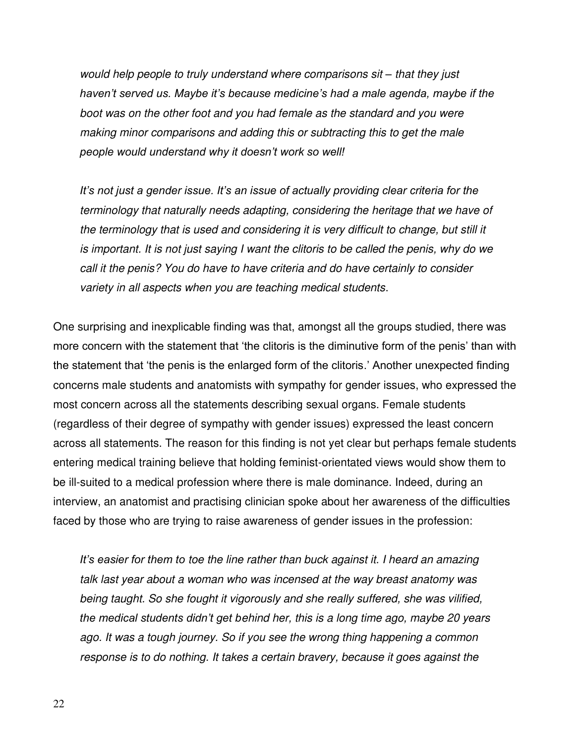would help people to truly understand where comparisons sit *–* that they just *haven't served us. Maybe it's because medicine's had a male agenda, maybe if the*  boot was on the other foot and you had female as the standard and you were making minor comparisons and adding this or subtracting this to get the male *people would understand why it doesn't work so well!*

*It's not just a gender issue. It's an issue of actually providing clear criteria for the*  terminology that naturally needs adapting, considering the heritage that we have of the terminology that is used and considering it is very difficult to change, but still it is important. It is not just saying I want the clitoris to be called the penis, why do we call it the penis? You do have to have criteria and do have certainly to consider variety in all aspects when you are teaching medical students.

One surprising and inexplicable finding was that, amongst all the groups studied, there was more concern with the statement that 'the clitoris is the diminutive form of the penis' than with the statement that 'the penis is the enlarged form of the clitoris.' Another unexpected finding concerns male students and anatomists with sympathy for gender issues, who expressed the most concern across all the statements describing sexual organs. Female students (regardless of their degree of sympathy with gender issues) expressed the least concern across all statements. The reason for this finding is not yet clear but perhaps female students entering medical training believe that holding feminist-orientated views would show them to be ill-suited to a medical profession where there is male dominance. Indeed, during an interview, an anatomist and practising clinician spoke about her awareness of the difficulties faced by those who are trying to raise awareness of gender issues in the profession:

*It's easier for them to* toe the line rather than buck against it. I heard an amazing talk last year about a woman who was incensed at the way breast anatomy was being taught. So she fought it vigorously and she really suffered, she was vilified, *the medical students didn't get b*ehind her, this is a long time ago, maybe 20 years ago. It was a tough journey. So if you see the wrong thing happening a common response is to do nothing. It takes a certain bravery, because it goes against the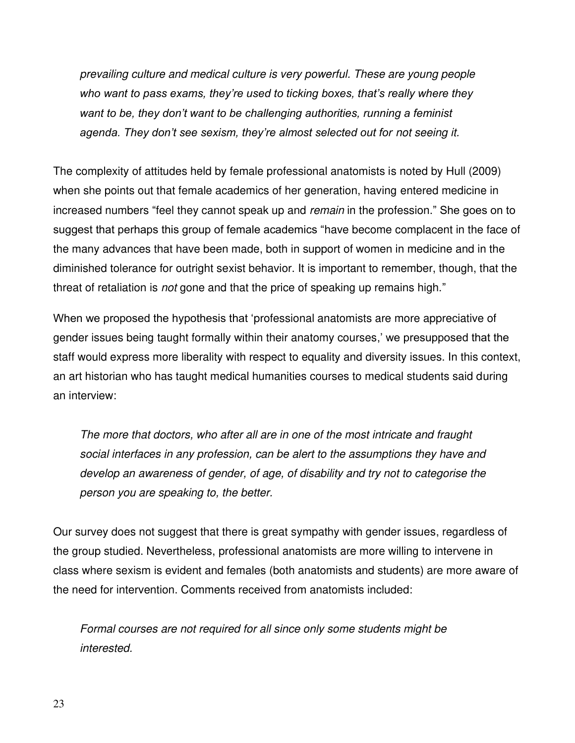prevailing culture and medical culture is very powerful. These are young people *who want to pass exams, they're used to ticking boxes, that's really where they want to be, they don't want to be challenging authorities, running a feminist agenda. They don't see sexism, they're almost selected out for* not seeing it.

The complexity of attitudes held by female professional anatomists is noted by Hull (2009) when she points out that female academics of her generation, having entered medicine in increased numbers "feel they cannot speak up and *remain* in the profession." She goes on to suggest that perhaps this group of female academics "have become complacent in the face of the many advances that have been made, both in support of women in medicine and in the diminished tolerance for outright sexist behavior. It is important to remember, though, that the threat of retaliation is *not* gone and that the price of speaking up remains high."

When we proposed the hypothesis that 'professional anatomists are more appreciative of gender issues being taught formally within their anatomy courses,' we presupposed that the staff would express more liberality with respect to equality and diversity issues. In this context, an art historian who has taught medical humanities courses to medical students said during an interview:

The more that doctors, who after all are in one of the most intricate and fraught social interfaces in any profession, can be alert to the assumptions they have and develop an awareness of gender, of age, of disability and try not to categorise the person you are speaking to, the better.

Our survey does not suggest that there is great sympathy with gender issues, regardless of the group studied. Nevertheless, professional anatomists are more willing to intervene in class where sexism is evident and females (both anatomists and students) are more aware of the need for intervention. Comments received from anatomists included:

Formal courses are not required for all since only some students might be interested.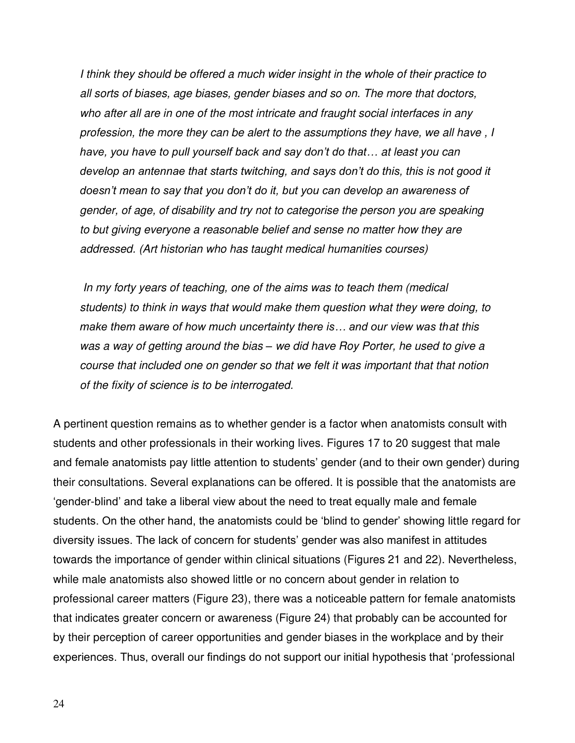I think they should be offered a much wider insight in the whole of their practice to all sorts of biases, age biases, gender biases and so on. The more that doctors, who after all are in one of the most intricate and fraught social interfaces in any profession, the more they can be alert to the assumptions they have, we all have , I *have, you have to pull yourself back and say don't do that…* at least you can *develop an antennae that starts twitching, and says don't do this, this is not good it doesn't mean to say that you don't do it, but you can develop an awareness of*  gender, of age, of disability and try not to categorise the person you are speaking to but giving everyone a reasonable belief and sense no matter how they are addressed. (Art historian who has taught medical humanities courses)

 In my forty years of teaching, one of the aims was to teach them (medical students) to think in ways that would make them question what they were doing, to *make them aware of how much uncertainty there is… and our view was th*at this was a way of getting around the bias *–* we did have Roy Porter, he used to give a course that included one on gender so that we felt it was important that that notion of the fixity of science is to be interrogated.

A pertinent question remains as to whether gender is a factor when anatomists consult with students and other professionals in their working lives. Figures 17 to 20 suggest that male and female anatomists pay little attention to students' gender (and to their own gender) during their consultations. Several explanations can be offered. It is possible that the anatomists are 'gender-blind' and take a liberal view about the need to treat equally male and female students. On the other hand, the anatomists could be 'blind to gender' showing little regard for diversity issues. The lack of concern for students' gender was also manifest in attitudes towards the importance of gender within clinical situations (Figures 21 and 22). Nevertheless, while male anatomists also showed little or no concern about gender in relation to professional career matters (Figure 23), there was a noticeable pattern for female anatomists that indicates greater concern or awareness (Figure 24) that probably can be accounted for by their perception of career opportunities and gender biases in the workplace and by their experiences. Thus, overall our findings do not support our initial hypothesis that 'professional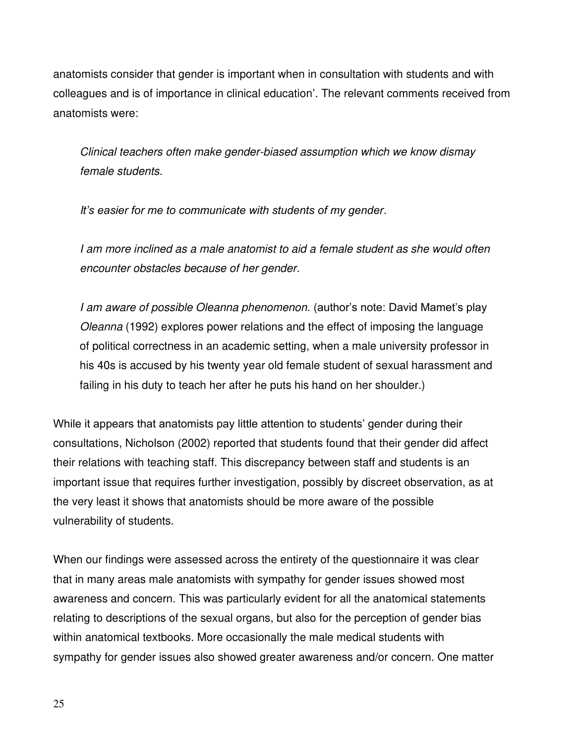anatomists consider that gender is important when in consultation with students and with colleagues and is of importance in clinical education'. The relevant comments received from anatomists were:

Clinical teachers often make gender-biased assumption which we know dismay female students.

I*t's easier for me to communicate with students of my gender*.

I am more inclined as a male anatomist to aid a female student as she would often encounter obstacles because of her gender.

I am aware of possible Oleanna phenomenon. (author's note: David Mamet's play Oleanna (1992) explores power relations and the effect of imposing the language of political correctness in an academic setting, when a male university professor in his 40s is accused by his twenty year old female student of sexual harassment and failing in his duty to teach her after he puts his hand on her shoulder.)

While it appears that anatomists pay little attention to students' gender during their consultations, Nicholson (2002) reported that students found that their gender did affect their relations with teaching staff. This discrepancy between staff and students is an important issue that requires further investigation, possibly by discreet observation, as at the very least it shows that anatomists should be more aware of the possible vulnerability of students.

When our findings were assessed across the entirety of the questionnaire it was clear that in many areas male anatomists with sympathy for gender issues showed most awareness and concern. This was particularly evident for all the anatomical statements relating to descriptions of the sexual organs, but also for the perception of gender bias within anatomical textbooks. More occasionally the male medical students with sympathy for gender issues also showed greater awareness and/or concern. One matter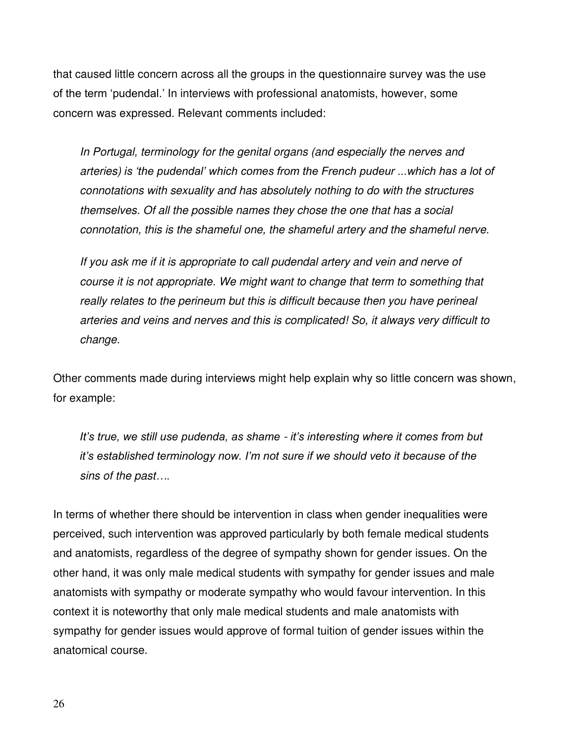that caused little concern across all the groups in the questionnaire survey was the use of the term 'pudendal.' In interviews with professional anatomists, however, some concern was expressed. Relevant comments included:

In Portugal, terminology for the genital organs (and especially the nerves and arteries) *is 'the pudendal' which comes from the French pudeur ...which has a lot of*  connotations with sexuality and has absolutely nothing to do with the structures themselves. Of all the possible names they chose the one that has a social connotation, this is the shameful one, the shameful artery and the shameful nerve.

If you ask me if it is appropriate to call pudendal artery and vein and nerve of course it is not appropriate. We might want to change that term to something that really relates to the perineum but this is difficult because then you have perineal arteries and veins and nerves and this is complicated! So, it always very difficult to change.

Other comments made during interviews might help explain why so little concern was shown, for example:

*It's true, we still use pudenda, as shame* - *it's interesting where it comes from but it's established terminology now. I'm not sure if we should veto it because of the*  sins of the past*….*

In terms of whether there should be intervention in class when gender inequalities were perceived, such intervention was approved particularly by both female medical students and anatomists, regardless of the degree of sympathy shown for gender issues. On the other hand, it was only male medical students with sympathy for gender issues and male anatomists with sympathy or moderate sympathy who would favour intervention. In this context it is noteworthy that only male medical students and male anatomists with sympathy for gender issues would approve of formal tuition of gender issues within the anatomical course.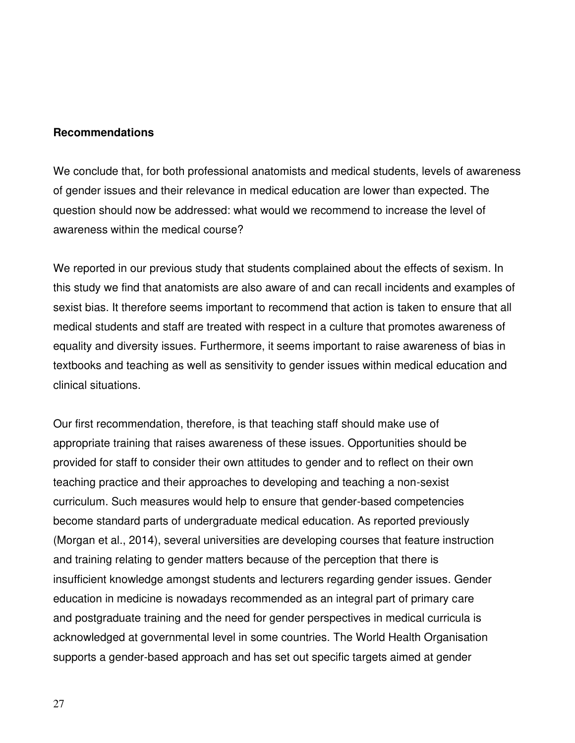#### **Recommendations**

We conclude that, for both professional anatomists and medical students, levels of awareness of gender issues and their relevance in medical education are lower than expected. The question should now be addressed: what would we recommend to increase the level of awareness within the medical course?

We reported in our previous study that students complained about the effects of sexism. In this study we find that anatomists are also aware of and can recall incidents and examples of sexist bias. It therefore seems important to recommend that action is taken to ensure that all medical students and staff are treated with respect in a culture that promotes awareness of equality and diversity issues. Furthermore, it seems important to raise awareness of bias in textbooks and teaching as well as sensitivity to gender issues within medical education and clinical situations.

Our first recommendation, therefore, is that teaching staff should make use of appropriate training that raises awareness of these issues. Opportunities should be provided for staff to consider their own attitudes to gender and to reflect on their own teaching practice and their approaches to developing and teaching a non-sexist curriculum. Such measures would help to ensure that gender-based competencies become standard parts of undergraduate medical education. As reported previously (Morgan et al., 2014), several universities are developing courses that feature instruction and training relating to gender matters because of the perception that there is insufficient knowledge amongst students and lecturers regarding gender issues. Gender education in medicine is nowadays recommended as an integral part of primary care and postgraduate training and the need for gender perspectives in medical curricula is acknowledged at governmental level in some countries. The World Health Organisation supports a gender-based approach and has set out specific targets aimed at gender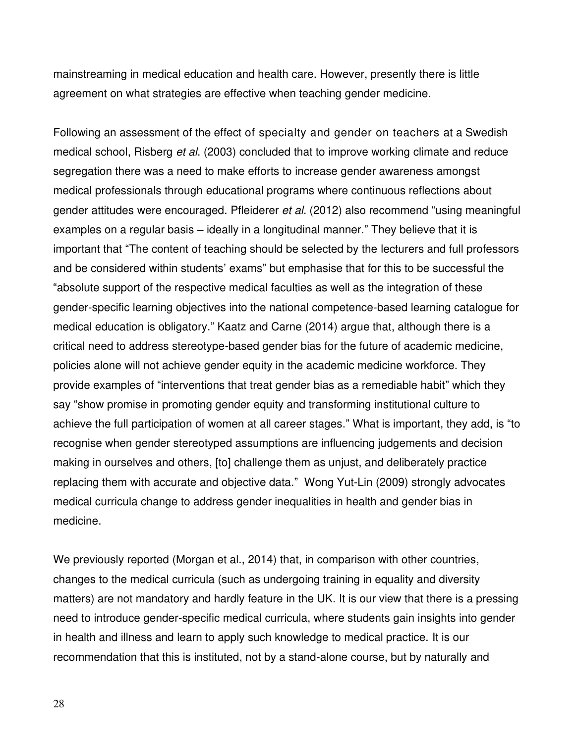mainstreaming in medical education and health care. However, presently there is little agreement on what strategies are effective when teaching gender medicine.

Following an assessment of the effect of specialty and gender on teachers at a Swedish medical school, Risberg et al. (2003) concluded that to improve working climate and reduce segregation there was a need to make efforts to increase gender awareness amongst medical professionals through educational programs where continuous reflections about gender attitudes were encouraged. Pfleiderer et al. (2012) also recommend "using meaningful examples on a regular basis – ideally in a longitudinal manner." They believe that it is important that "The content of teaching should be selected by the lecturers and full professors and be considered within students' exams" but emphasise that for this to be successful the "absolute support of the respective medical faculties as well as the integration of these gender-specific learning objectives into the national competence-based learning catalogue for medical education is obligatory." Kaatz and Carne (2014) argue that, although there is a critical need to address stereotype-based gender bias for the future of academic medicine, policies alone will not achieve gender equity in the academic medicine workforce. They provide examples of "interventions that treat gender bias as a remediable habit" which they say "show promise in promoting gender equity and transforming institutional culture to achieve the full participation of women at all career stages." What is important, they add, is "to recognise when gender stereotyped assumptions are influencing judgements and decision making in ourselves and others, [to] challenge them as unjust, and deliberately practice replacing them with accurate and objective data." Wong Yut-Lin (2009) strongly advocates medical curricula change to address gender inequalities in health and gender bias in medicine.

We previously reported (Morgan et al., 2014) that, in comparison with other countries, changes to the medical curricula (such as undergoing training in equality and diversity matters) are not mandatory and hardly feature in the UK. It is our view that there is a pressing need to introduce gender-specific medical curricula, where students gain insights into gender in health and illness and learn to apply such knowledge to medical practice. It is our recommendation that this is instituted, not by a stand-alone course, but by naturally and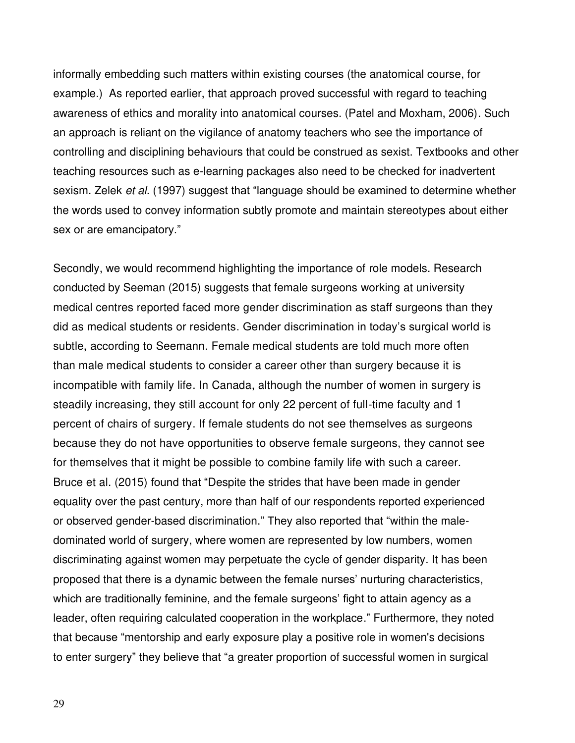informally embedding such matters within existing courses (the anatomical course, for example.) As reported earlier, that approach proved successful with regard to teaching awareness of ethics and morality into anatomical courses. (Patel and Moxham, 2006). Such an approach is reliant on the vigilance of anatomy teachers who see the importance of controlling and disciplining behaviours that could be construed as sexist. Textbooks and other teaching resources such as e-learning packages also need to be checked for inadvertent sexism. Zelek *et al.* (1997) suggest that "language should be examined to determine whether the words used to convey information subtly promote and maintain stereotypes about either sex or are emancipatory."

Secondly, we would recommend highlighting the importance of role models. Research conducted by Seeman (2015) suggests that female surgeons working at university medical centres reported faced more gender discrimination as staff surgeons than they did as medical students or residents. Gender discrimination in today's surgical world is subtle, according to Seemann. Female medical students are told much more often than male medical students to consider a career other than surgery because it is incompatible with family life. In Canada, although the number of women in surgery is steadily increasing, they still account for only 22 percent of full-time faculty and 1 percent of chairs of surgery. If female students do not see themselves as surgeons because they do not have opportunities to observe female surgeons, they cannot see for themselves that it might be possible to combine family life with such a career. Bruce et al. (2015) found that "Despite the strides that have been made in gender equality over the past century, more than half of our respondents reported experienced or observed gender-based discrimination." They also reported that "within the maledominated world of surgery, where women are represented by low numbers, women discriminating against women may perpetuate the cycle of gender disparity. It has been proposed that there is a dynamic between the female nurses' nurturing characteristics, which are traditionally feminine, and the female surgeons' fight to attain agency as a leader, often requiring calculated cooperation in the workplace." Furthermore, they noted that because "mentorship and early exposure play a positive role in women's decisions to enter surgery" they believe that "a greater proportion of successful women in surgical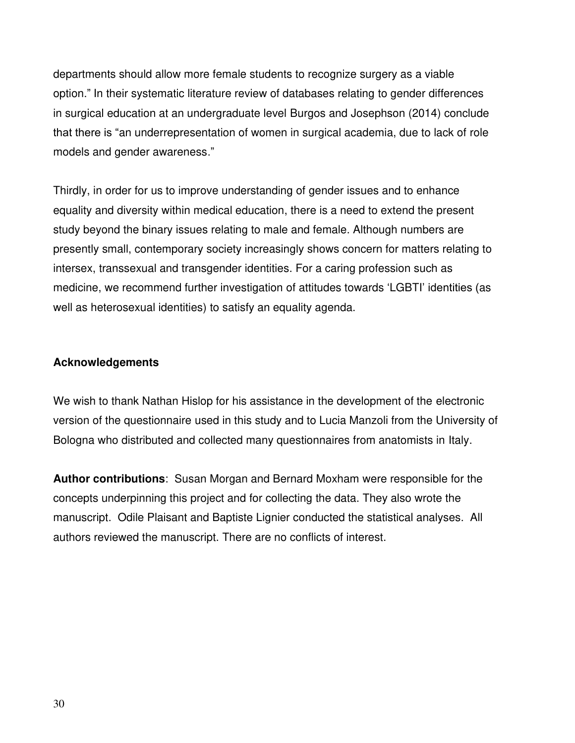departments should allow more female students to recognize surgery as a viable option." In their systematic literature review of databases relating to gender differences in surgical education at an undergraduate level Burgos and Josephson (2014) conclude that there is "an underrepresentation of women in surgical academia, due to lack of role models and gender awareness."

Thirdly, in order for us to improve understanding of gender issues and to enhance equality and diversity within medical education, there is a need to extend the present study beyond the binary issues relating to male and female. Although numbers are presently small, contemporary society increasingly shows concern for matters relating to intersex, transsexual and transgender identities. For a caring profession such as medicine, we recommend further investigation of attitudes towards 'LGBTI' identities (as well as heterosexual identities) to satisfy an equality agenda.

# **Acknowledgements**

We wish to thank Nathan Hislop for his assistance in the development of the electronic version of the questionnaire used in this study and to Lucia Manzoli from the University of Bologna who distributed and collected many questionnaires from anatomists in Italy.

**Author contributions**: Susan Morgan and Bernard Moxham were responsible for the concepts underpinning this project and for collecting the data. They also wrote the manuscript. Odile Plaisant and Baptiste Lignier conducted the statistical analyses. All authors reviewed the manuscript. There are no conflicts of interest.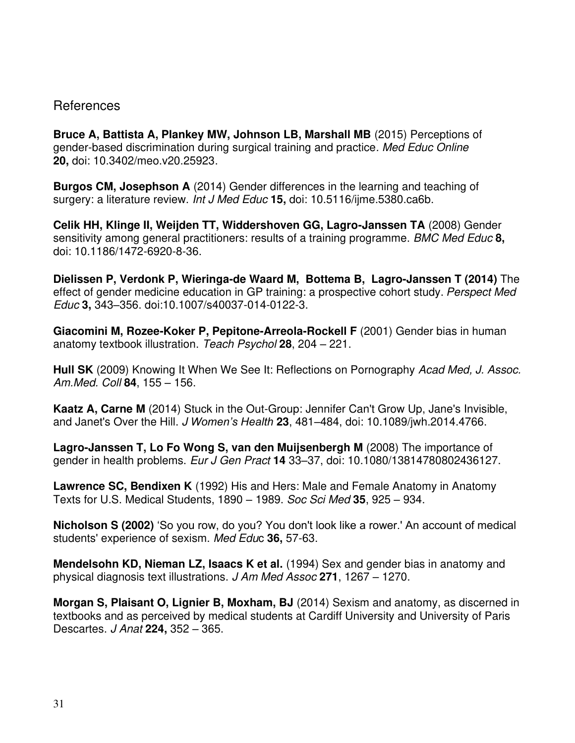# References

**Bruce A, Battista A, Plankey MW, Johnson LB, Marshall MB** (2015) Perceptions of gender-based discrimination during surgical training and practice. Med Educ Online **20,** doi: [10.3402/meo.v20.25923.](http://dx.doi.org/10.3402%2Fmeo.v20.25923)

**Burgos CM, Josephson A** (2014) Gender differences in the learning and teaching of surgery: a literature review. [Int J Med Educ](http://www.ncbi.nlm.nih.gov/pubmed/25341220) **15,** doi: 10.5116/ijme.5380.ca6b.

**Celik HH, Klinge II, Weijden TT, Widdershoven GG, Lagro-Janssen TA** (2008) Gender sensitivity among general practitioners: results of a training programme. BMC Med Educ **8,** doi: 10.1186/1472-6920-8-36.

**[Dielissen](http://www.ncbi.nlm.nih.gov/pubmed/?term=Dielissen%20P%5Bauth%5D) P, Verdonk P, [Wieringa-de Waard](http://www.ncbi.nlm.nih.gov/pubmed/?term=Waard%20MW%5Bauth%5D) M, [Bottema](http://www.ncbi.nlm.nih.gov/pubmed/?term=Bottema%20B%5Bauth%5D) B, [Lagro-Janssen](http://www.ncbi.nlm.nih.gov/pubmed/?term=Lagro-Janssen%20T%5Bauth%5D) T (2014)** The effect of gender medicine education in GP training: a prospective cohort study. Perspect Med Educ **3,** 343–356. doi[:10.1007/s40037-014-0122-3.](http://dx.doi.org/10.1007%2Fs40037-014-0122-3)

**Giacomini M, Rozee-Koker P, Pepitone-Arreola-Rockell F** (2001) Gender bias in human anatomy textbook illustration. Teach Psychol **28**, 204 – 221.

**Hull SK** (2009) Knowing It When We See It: Reflections on Pornography Acad Med, J. Assoc. Am.Med. Coll **84**, 155 – 156.

**Kaatz A, Carne M** (2014) Stuck in the Out-Group: Jennifer Can't Grow Up, Jane's Invisible, and Janet's Over the Hill. J *Women's Health* **23**, 481–484, doi: [10.1089/jwh.2014.4766.](http://dx.doi.org/10.1089%2Fjwh.2014.4766)

**Lagro-Janssen T, Lo Fo Wong S, van den Muijsenbergh M** (2008) The importance of gender in health problems. Eur J Gen Pract **14** 33–37, doi: 10.1080/13814780802436127.

**Lawrence SC, Bendixen K** (1992) His and Hers: Male and Female Anatomy in Anatomy Texts for U.S. Medical Students, 1890 – 1989. Soc Sci Med **35**, 925 – 934.

**Nicholson S (2002)** 'So you row, do you? You don't look like a rower.' An account of medical students' experience of sexism. [Med Edu](http://www.ncbi.nlm.nih.gov/pubmed/12406266)c **36,** 57-63.

**Mendelsohn KD, Nieman LZ, Isaacs K et al.** (1994) Sex and gender bias in anatomy and physical diagnosis text illustrations. J Am Med Assoc **271**, 1267 – 1270.

**Morgan S, Plaisant O, Lignier B, Moxham, BJ** (2014) Sexism and anatomy, as discerned in textbooks and as perceived by medical students at Cardiff University and University of Paris Descartes. J Anat **224,** 352 – 365.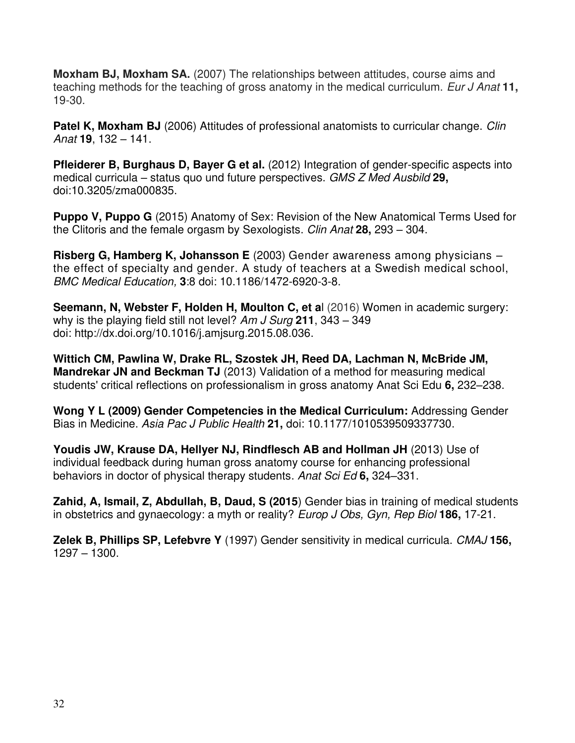**Moxham BJ, Moxham SA.** (2007) The relationships between attitudes, course aims and teaching methods for the teaching of gross anatomy in the medical curriculum. Eur J Anat **11,**  19-30.

**Patel K, Moxham BJ** (2006) Attitudes of professional anatomists to curricular change. Clin Anat **19**, 132 – 141.

**Pfleiderer B, Burghaus D, Bayer G et al.** (2012) Integration of gender-specific aspects into medical curricula – status quo und future perspectives. GMS Z Med Ausbild **29,**  doi:10.3205/zma000835.

**Puppo V, Puppo G** (2015) Anatomy of Sex: Revision of the New Anatomical Terms Used for the Clitoris and the female orgasm by Sexologists. Clin Anat **28,** 293 – 304.

**Risberg G, Hamberg K, Johansson E** (2003) Gender awareness among physicians – the effect of specialty and gender. A study of teachers at a Swedish medical school, BMC Medical Education, **3**:8 doi: 10.1186/1472-6920-3-8.

**[Seemann,](javascript:void(0);) N, Webster F, Holden H, Moulton C, et a**l (2016) Women in academic surgery: why is the playing field still not level? Am J Surg **211**, 343 – 349 doi: [http://dx.doi.org/10.1016/j.amjsurg.2015.08.036.](http://dx.doi.org/10.1016/j.amjsurg.2015.08.036)

**Wittich CM, Pawlina W, Drake RL, Szostek JH, Reed DA, Lachman N, McBride JM, Mandrekar JN and Beckman TJ** (2013) [Validation of a method for measuring medical](http://onlinelibrary.wiley.com/doi/10.1002/ase.1329/abstract)  [students' critical reflections on professionalism in gross anatomy](http://onlinelibrary.wiley.com/doi/10.1002/ase.1329/abstract) Anat Sci Edu **6,** 232–238.

**Wong Y L (2009) Gender Competencies in the Medical Curriculum:** Addressing Gender Bias in Medicine. Asia Pac J Public Health **21,** doi: 10.1177/1010539509337730.

**Youdis JW, Krause DA, Hellyer NJ, Rindflesch AB and Hollman JH** (2013) Use of individual feedback during human gross anatomy course for enhancing professional behaviors in doctor of physical therapy students. Anat Sci Ed **6,** 324–331.

**Zahid, A, Ismail, Z, Abdullah, B, Daud, S (2015**) Gender bias in training of medical students in obstetrics and gynaecology: a myth or reality? Europ J Obs, Gyn, Rep Biol **186,** 17-21.

**Zelek B, Phillips SP, Lefebvre Y** (1997) Gender sensitivity in medical curricula. CMAJ **156,**  1297 – 1300.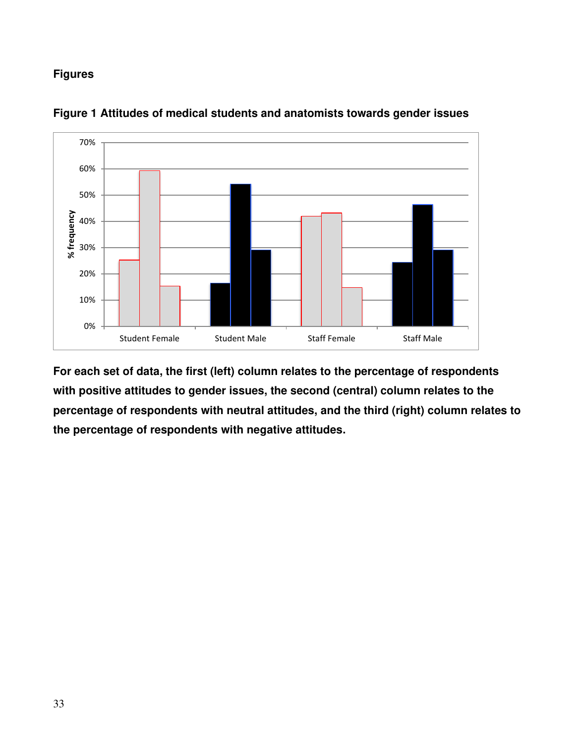# **Figures**



**Figure 1 Attitudes of medical students and anatomists towards gender issues** 

**For each set of data, the first (left) column relates to the percentage of respondents with positive attitudes to gender issues, the second (central) column relates to the percentage of respondents with neutral attitudes, and the third (right) column relates to the percentage of respondents with negative attitudes.**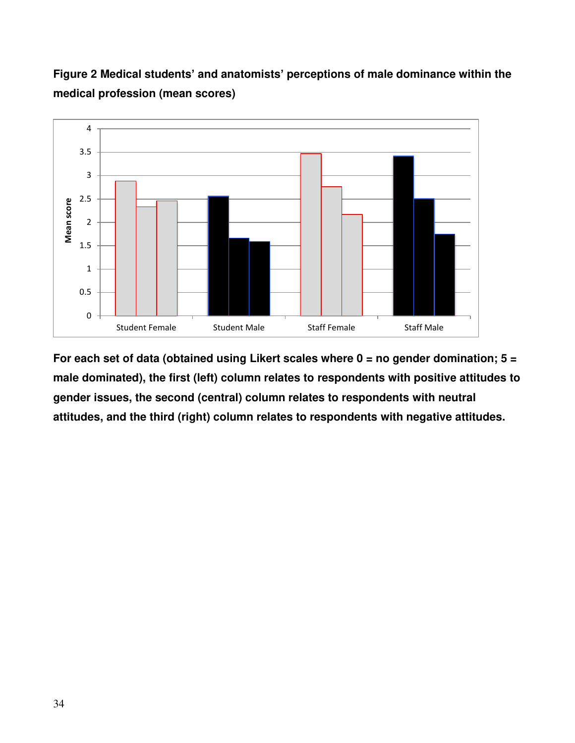# **Figure 2 Medical students' and anatomists' perceptions of male dominance within the medical profession (mean scores)**



**For each set of data (obtained using Likert scales where 0 = no gender domination; 5 = male dominated), the first (left) column relates to respondents with positive attitudes to gender issues, the second (central) column relates to respondents with neutral attitudes, and the third (right) column relates to respondents with negative attitudes.**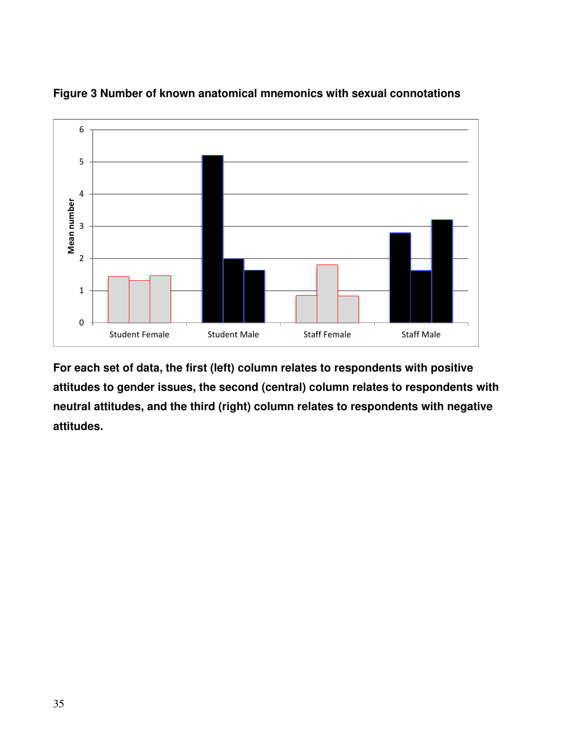

**Figure 3 Number of known anatomical mnemonics with sexual connotations** 

**For each set of data, the first (left) column relates to respondents with positive attitudes to gender issues, the second (central) column relates to respondents with neutral attitudes, and the third (right) column relates to respondents with negative attitudes.**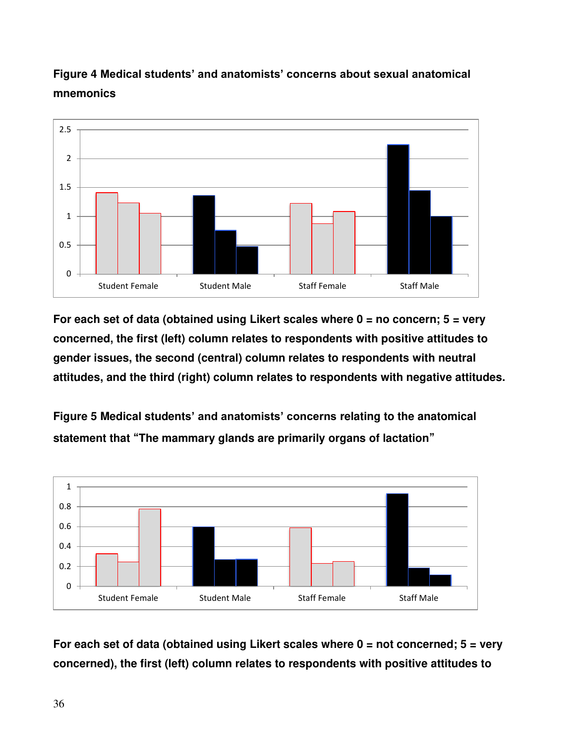

# **Figure 4 Medical students' and anatomists' concerns about sexual anatomical mnemonics**

**For each set of data (obtained using Likert scales where 0 = no concern; 5 = very concerned, the first (left) column relates to respondents with positive attitudes to gender issues, the second (central) column relates to respondents with neutral attitudes, and the third (right) column relates to respondents with negative attitudes.** 

**Figure 5 Medical students' and anatomists' concerns relating to the anatomical statement that "The mammary glands are primarily organs of lactation"**



**For each set of data (obtained using Likert scales where 0 = not concerned; 5 = very concerned), the first (left) column relates to respondents with positive attitudes to**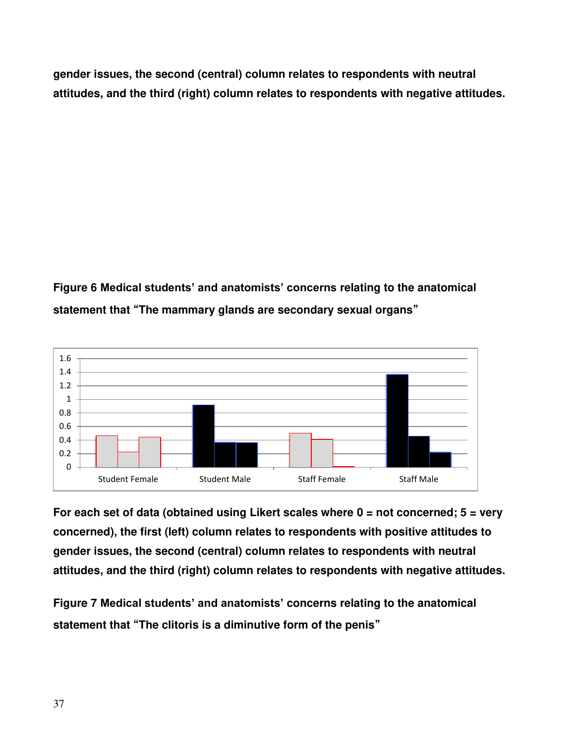**gender issues, the second (central) column relates to respondents with neutral attitudes, and the third (right) column relates to respondents with negative attitudes.** 

# **Figure 6 Medical students' and anatomists' concerns relating to the anatomical statement that "The mammary glands are secondary sexual organs"**



**For each set of data (obtained using Likert scales where 0 = not concerned; 5 = very concerned), the first (left) column relates to respondents with positive attitudes to gender issues, the second (central) column relates to respondents with neutral attitudes, and the third (right) column relates to respondents with negative attitudes.** 

**Figure 7 Medical students' and anatomists' concerns relating to the anatomical statement that "The clitoris is a diminutive form of the penis"**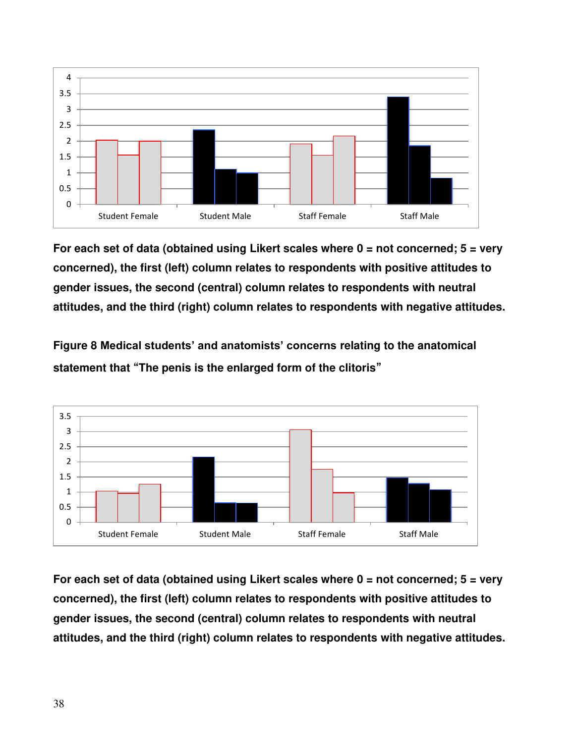

**For each set of data (obtained using Likert scales where 0 = not concerned; 5 = very concerned), the first (left) column relates to respondents with positive attitudes to gender issues, the second (central) column relates to respondents with neutral attitudes, and the third (right) column relates to respondents with negative attitudes.** 

**Figure 8 Medical students' and anatomists' concerns relating to the anatomical statement that "The penis is the enlarged form of the clitoris"**



**For each set of data (obtained using Likert scales where 0 = not concerned; 5 = very concerned), the first (left) column relates to respondents with positive attitudes to gender issues, the second (central) column relates to respondents with neutral attitudes, and the third (right) column relates to respondents with negative attitudes.**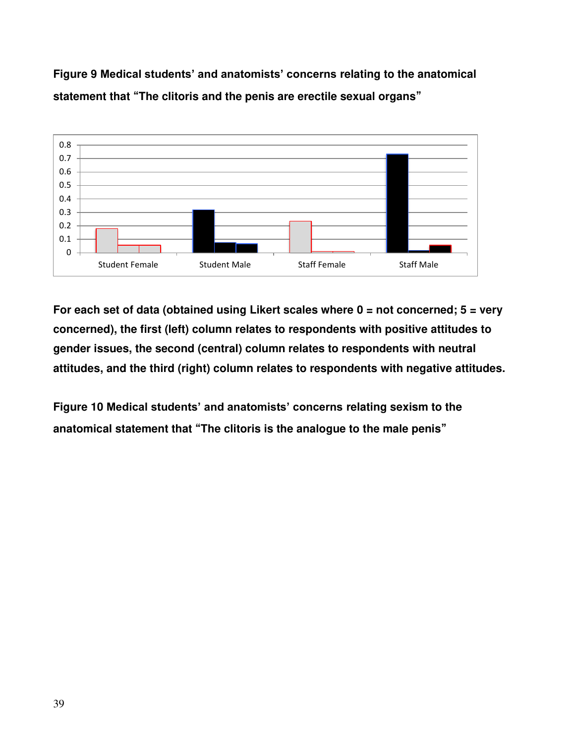**Figure 9 Medical students' and anatomists' concerns relating to the anatomical statement that "The clitoris and the penis are erectile sexual organs"**



**For each set of data (obtained using Likert scales where 0 = not concerned; 5 = very concerned), the first (left) column relates to respondents with positive attitudes to gender issues, the second (central) column relates to respondents with neutral attitudes, and the third (right) column relates to respondents with negative attitudes.** 

**Figure 10 Medical students' and anatomists' concerns relating sexism to the anatomical statement that "The clitoris is the analogue to the male penis"**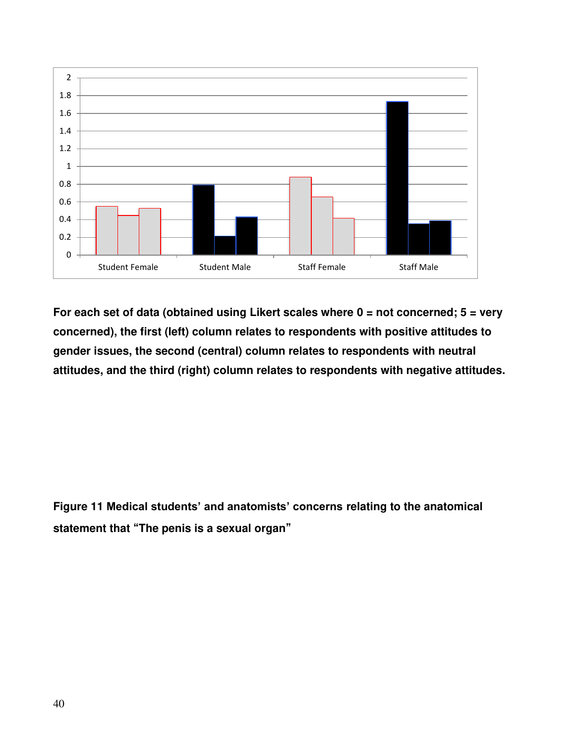

**For each set of data (obtained using Likert scales where 0 = not concerned; 5 = very concerned), the first (left) column relates to respondents with positive attitudes to gender issues, the second (central) column relates to respondents with neutral attitudes, and the third (right) column relates to respondents with negative attitudes.** 

**Figure 11 Medical students' and anatomists' concerns relating to the anatomical statement that "The penis is a sexual organ"**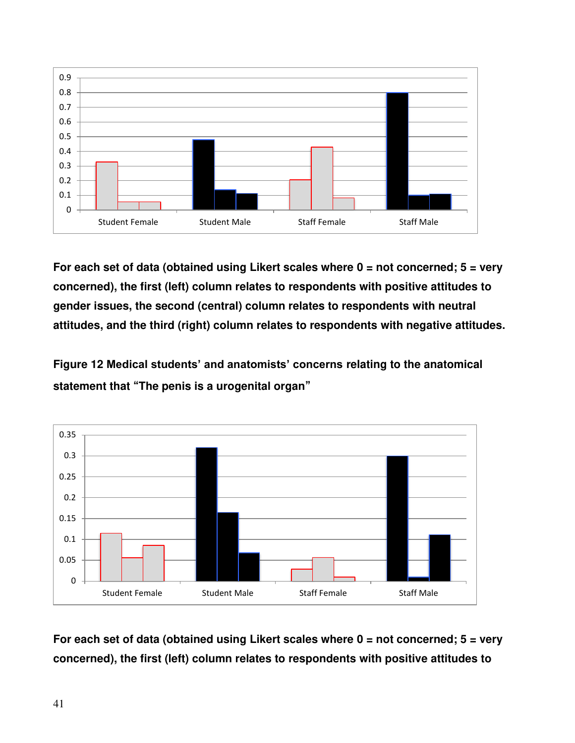

**For each set of data (obtained using Likert scales where 0 = not concerned; 5 = very concerned), the first (left) column relates to respondents with positive attitudes to gender issues, the second (central) column relates to respondents with neutral attitudes, and the third (right) column relates to respondents with negative attitudes.** 

**Figure 12 Medical students' and anatomists' concerns relating to the anatomical statement that "The penis is a urogenital organ"**



**For each set of data (obtained using Likert scales where 0 = not concerned; 5 = very concerned), the first (left) column relates to respondents with positive attitudes to**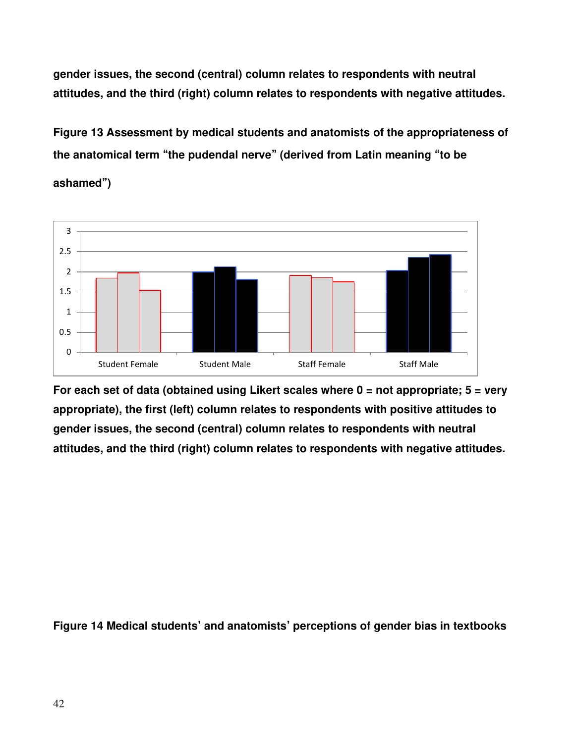**gender issues, the second (central) column relates to respondents with neutral attitudes, and the third (right) column relates to respondents with negative attitudes.** 

**Figure 13 Assessment by medical students and anatomists of the appropriateness of the anatomical term "the pudendal nerve" (derived from Latin meaning "to be** 





**For each set of data (obtained using Likert scales where 0 = not appropriate; 5 = very appropriate), the first (left) column relates to respondents with positive attitudes to gender issues, the second (central) column relates to respondents with neutral attitudes, and the third (right) column relates to respondents with negative attitudes.** 

**Figure 14 Medical students' and anatomists' perceptions of gender bias in textbooks**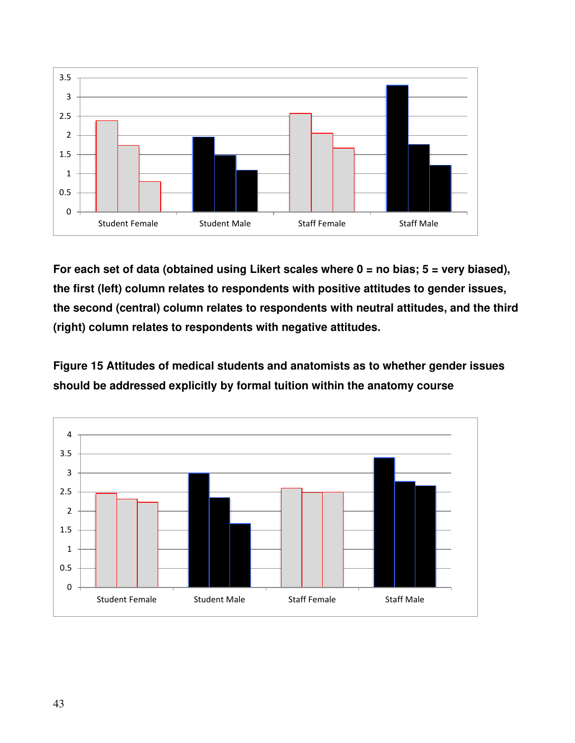

**For each set of data (obtained using Likert scales where 0 = no bias; 5 = very biased), the first (left) column relates to respondents with positive attitudes to gender issues, the second (central) column relates to respondents with neutral attitudes, and the third (right) column relates to respondents with negative attitudes.** 

**Figure 15 Attitudes of medical students and anatomists as to whether gender issues should be addressed explicitly by formal tuition within the anatomy course** 

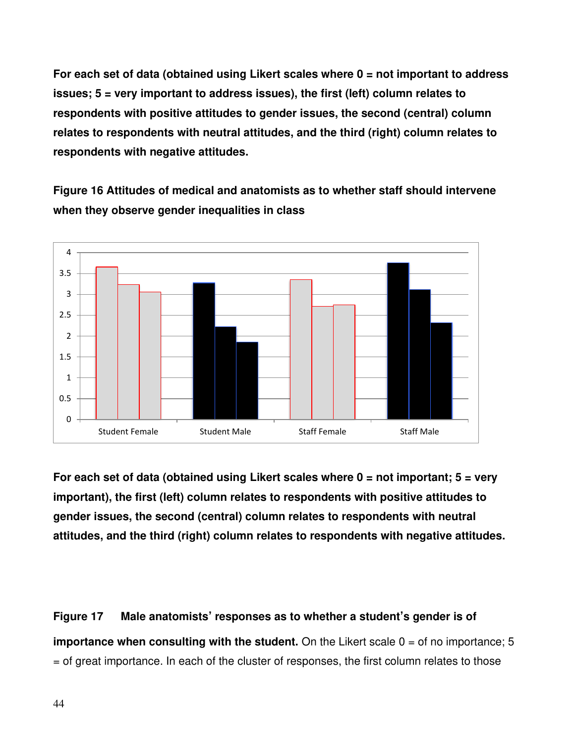**For each set of data (obtained using Likert scales where 0 = not important to address issues; 5 = very important to address issues), the first (left) column relates to respondents with positive attitudes to gender issues, the second (central) column relates to respondents with neutral attitudes, and the third (right) column relates to respondents with negative attitudes.** 

**Figure 16 Attitudes of medical and anatomists as to whether staff should intervene when they observe gender inequalities in class** 



**For each set of data (obtained using Likert scales where 0 = not important; 5 = very important), the first (left) column relates to respondents with positive attitudes to gender issues, the second (central) column relates to respondents with neutral attitudes, and the third (right) column relates to respondents with negative attitudes.** 

**Figure 17 Male anatomists' responses as to whether a student's gender is of importance when consulting with the student.** On the Likert scale  $0 =$  of no importance; 5 = of great importance. In each of the cluster of responses, the first column relates to those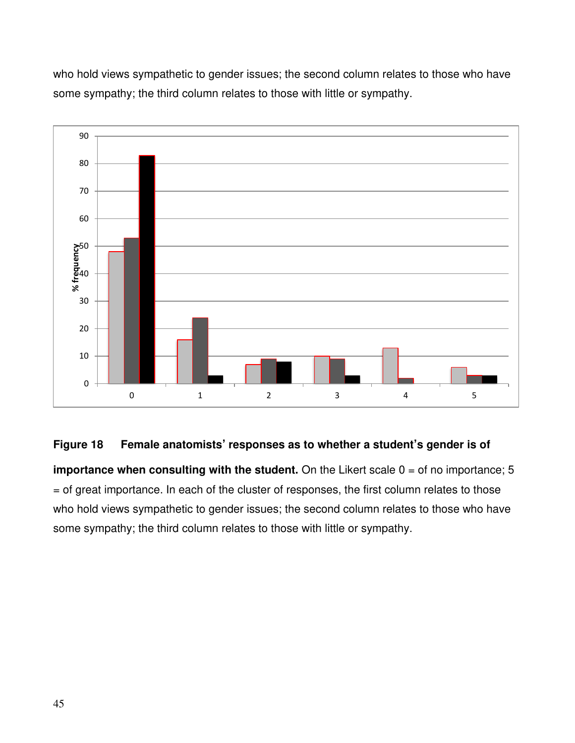who hold views sympathetic to gender issues; the second column relates to those who have some sympathy; the third column relates to those with little or sympathy.



# **Figure 18 Female anatomists' responses as to whether a student's gender is of**

**importance when consulting with the student.** On the Likert scale 0 = of no importance; 5 = of great importance. In each of the cluster of responses, the first column relates to those who hold views sympathetic to gender issues; the second column relates to those who have some sympathy; the third column relates to those with little or sympathy.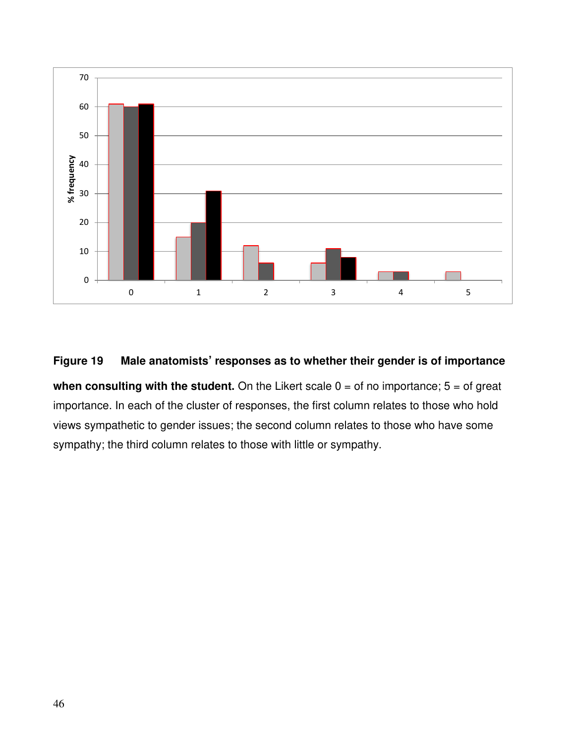

# **Figure 19 Male anatomists' responses as to whether their gender is of importance**

**when consulting with the student.** On the Likert scale  $0 =$  of no importance;  $5 =$  of great importance. In each of the cluster of responses, the first column relates to those who hold views sympathetic to gender issues; the second column relates to those who have some sympathy; the third column relates to those with little or sympathy.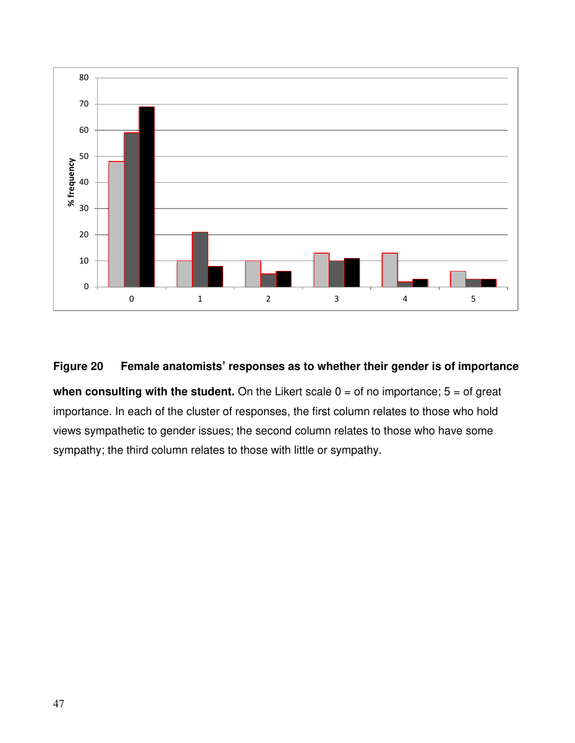

# **Figure 20 Female anatomists' responses as to whether their gender is of importance**

**when consulting with the student.** On the Likert scale  $0 =$  of no importance;  $5 =$  of great importance. In each of the cluster of responses, the first column relates to those who hold views sympathetic to gender issues; the second column relates to those who have some sympathy; the third column relates to those with little or sympathy.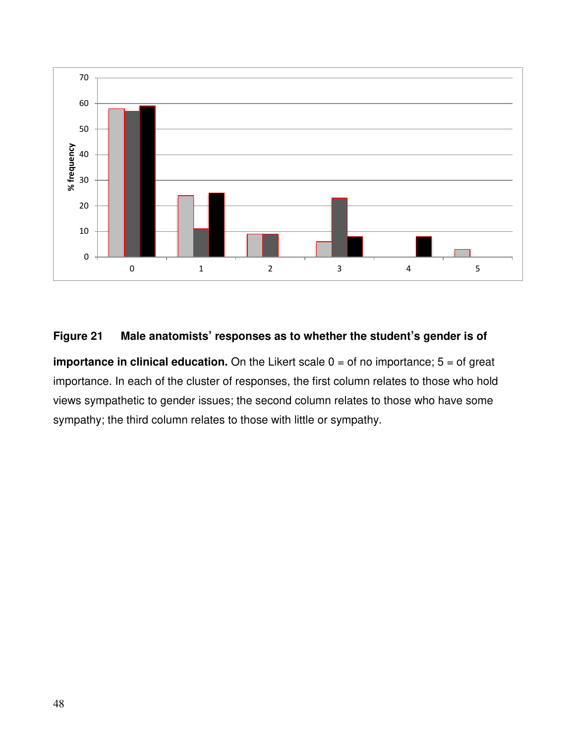

# **Figure 21 Male anatomists' responses as to whether the student's gender is of**

**importance in clinical education.** On the Likert scale  $0 =$  of no importance;  $5 =$  of great importance. In each of the cluster of responses, the first column relates to those who hold views sympathetic to gender issues; the second column relates to those who have some sympathy; the third column relates to those with little or sympathy.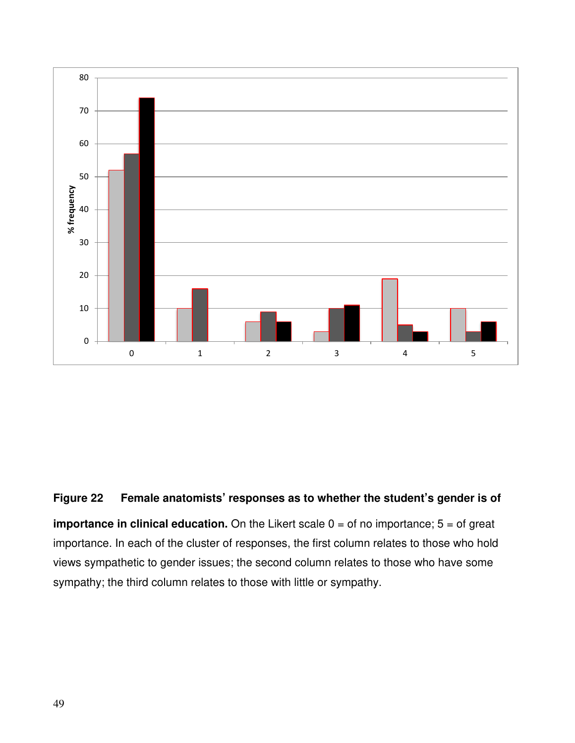

# **Figure 22 Female anatomists' responses as to whether the student's gender is of**

**importance in clinical education.** On the Likert scale  $0 =$  of no importance;  $5 =$  of great importance. In each of the cluster of responses, the first column relates to those who hold views sympathetic to gender issues; the second column relates to those who have some sympathy; the third column relates to those with little or sympathy.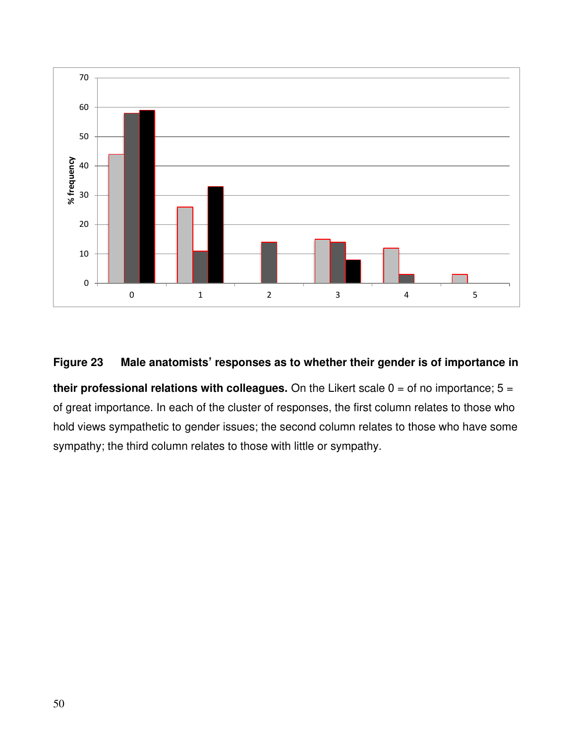

# **Figure 23 Male anatomists' responses as to whether their gender is of importance in**

**their professional relations with colleagues.** On the Likert scale  $0 =$  of no importance;  $5 =$ of great importance. In each of the cluster of responses, the first column relates to those who hold views sympathetic to gender issues; the second column relates to those who have some sympathy; the third column relates to those with little or sympathy.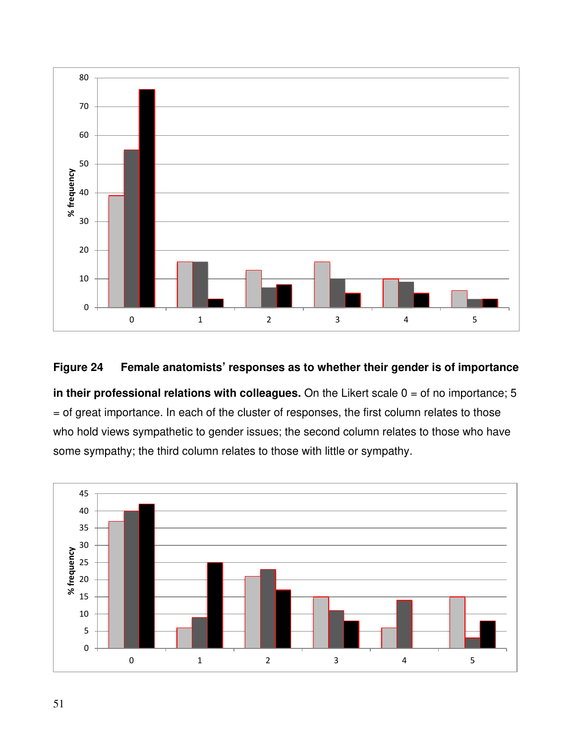

# **Figure 24 Female anatomists' responses as to whether their gender is of importance**

**in their professional relations with colleagues.** On the Likert scale 0 = of no importance; 5 = of great importance. In each of the cluster of responses, the first column relates to those who hold views sympathetic to gender issues; the second column relates to those who have some sympathy; the third column relates to those with little or sympathy.

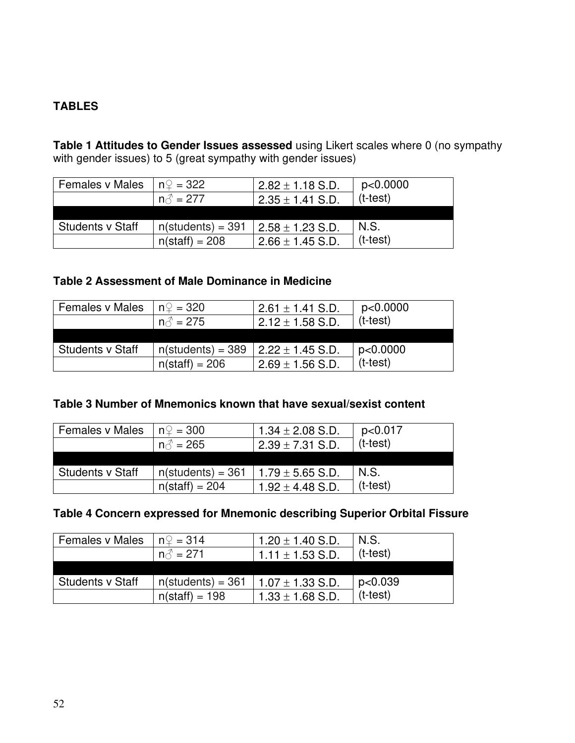# **TABLES**

**Table 1 Attitudes to Gender Issues assessed** using Likert scales where 0 (no sympathy with gender issues) to 5 (great sympathy with gender issues)

| <b>Females v Males</b>  | $n\Omega = 322$      | $2.82 \pm 1.18$ S.D. | p<0.0000   |
|-------------------------|----------------------|----------------------|------------|
|                         | $n\hat{d} = 277$     | $2.35 \pm 1.41$ S.D. | $(t-test)$ |
|                         |                      |                      |            |
| <b>Students v Staff</b> | $n$ (students) = 391 | $2.58 \pm 1.23$ S.D. | N.S.       |
|                         | $n(stat) = 208$      | $2.66 \pm 1.45$ S.D. | $(t-test)$ |

# **Table 2 Assessment of Male Dominance in Medicine**

| <b>Females v Males</b> | $n\Omega = 320$                 | $2.61 \pm 1.41$ S.D.           | p<0.0000   |
|------------------------|---------------------------------|--------------------------------|------------|
|                        | $n\text{ }^{\mathcal{Z}} = 275$ | $2.12 \pm 1.58$ S.D.           | $(t-test)$ |
|                        |                                 |                                |            |
| Students v Staff       | $n$ (students) = 389            | $\frac{1}{2.22 \pm 1.45}$ S.D. | p<0.0000   |
|                        | $n(stat) = 206$                 | $2.69 \pm 1.56$ S.D.           | $(t-test)$ |

# **Table 3 Number of Mnemonics known that have sexual/sexist content**

| <b>Females v Males</b> | $n\Omega = 300$                 | 1.34 $\pm$ 2.08 S.D. | p<0.017    |
|------------------------|---------------------------------|----------------------|------------|
|                        | $n\text{ }^{\mathcal{Z}} = 265$ | $2.39 \pm 7.31$ S.D. | $(t-test)$ |
|                        |                                 |                      |            |
| Students v Staff       | $n$ (students) = 361            | $1.79 \pm 5.65$ S.D. | N.S.       |
|                        | $n(stat) = 204$                 | $1.92 \pm 4.48$ S.D. | $(t-test)$ |

# **Table 4 Concern expressed for Mnemonic describing Superior Orbital Fissure**

| <b>Females v Males</b>  | $n\Omega = 314$                 | 1.20 $\pm$ 1.40 S.D. | N.S.       |
|-------------------------|---------------------------------|----------------------|------------|
|                         | $n\text{ }^{\mathcal{L}} = 271$ | $1.11 \pm 1.53$ S.D. | $(t-test)$ |
|                         |                                 |                      |            |
| <b>Students v Staff</b> | $n$ (students) = 361            | $1.07 \pm 1.33$ S.D. | p<0.039    |
|                         | $n(stat) = 198$                 | $1.33 \pm 1.68$ S.D. | $(t-test)$ |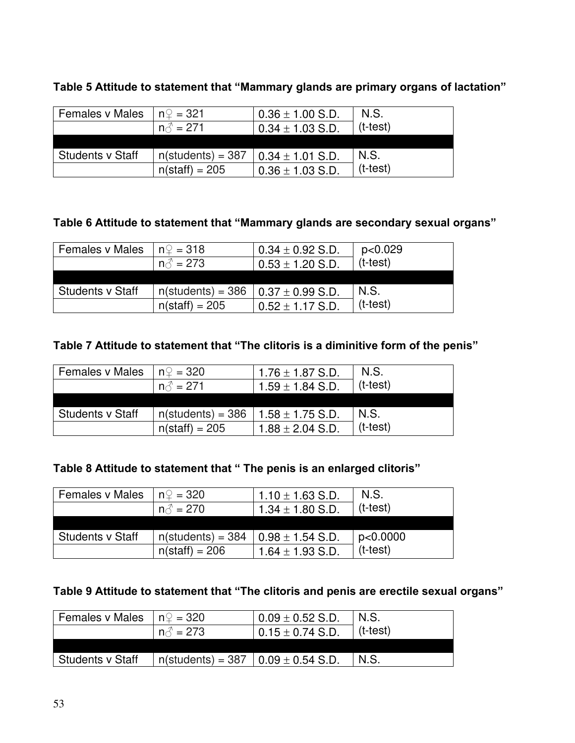# **Table 5 Attitude to statement that "Mammary glands are primary organs of lactation"**

| <b>Females v Males</b> | l nହ = 321                    | $0.36 \pm 1.00$ S.D.         | N.S.       |
|------------------------|-------------------------------|------------------------------|------------|
|                        | $n\textcolor{red}{\beta}=271$ | $0.34 \pm 1.03$ S.D.         | $(t-test)$ |
|                        |                               |                              |            |
| Students v Staff       | $n(\text{students}) = 387$    | $\vert$ 0.34 $\pm$ 1.01 S.D. | N.S.       |
|                        | $n(stat) = 205$               | $0.36 \pm 1.03$ S.D.         | $(t-test)$ |

# **Table 6 Attitude to statement that "Mammary glands are secondary sexual organs"**

| <b>Females v Males</b>  | $n\mathcal{Q} = 318$                        | $0.34 \pm 0.92$ S.D. | p<0.029    |
|-------------------------|---------------------------------------------|----------------------|------------|
|                         | $n\text{ }^{\mathcal{Z}} = 273$             | $0.53 \pm 1.20$ S.D. | $(t-test)$ |
|                         |                                             |                      |            |
| <b>Students v Staff</b> | $n$ (students) = 386   0.37 $\pm$ 0.99 S.D. |                      | N.S.       |
|                         | $n(stat) = 205$                             | $0.52 \pm 1.17$ S.D. | $(t-test)$ |

# **Table 7 Attitude to statement that "The clitoris is a diminitive form of the penis"**

| <b>Females v Males</b> | $n\Omega = 320$                 | $1.76 \pm 1.87$ S.D. | N.S.       |
|------------------------|---------------------------------|----------------------|------------|
|                        | $n\text{ }^{\mathcal{L}} = 271$ | $1.59 \pm 1.84$ S.D. | $(t-test)$ |
|                        |                                 |                      |            |
| Students v Staff       | $n$ (students) = 386            | $1.58 \pm 1.75$ S.D. | N.S.       |
|                        | $n(stat) = 205$                 | $1.88 \pm 2.04$ S.D. | $(t-test)$ |

# **Table 8 Attitude to statement that " The penis is an enlarged clitoris"**

| <b>Females v Males</b>  | $n\mathbb{Q} = 320$                         | 1.10 $\pm$ 1.63 S.D. | N.S.       |
|-------------------------|---------------------------------------------|----------------------|------------|
|                         | $n\text{A}^2 = 270$                         | $1.34 \pm 1.80$ S.D. | $(t-test)$ |
|                         |                                             |                      |            |
| <b>Students v Staff</b> | $n$ (students) = 384   0.98 $\pm$ 1.54 S.D. |                      | p<0.0000   |
|                         | $n(stat) = 206$                             | $1.64 \pm 1.93$ S.D. | $(t-test)$ |

# **Table 9 Attitude to statement that "The clitoris and penis are erectile sexual organs"**

| Females v Males  | $\ln 2 = 320$                                              | $0.09 \pm 0.52$ S.D.         | N.S.     |
|------------------|------------------------------------------------------------|------------------------------|----------|
|                  | $n\textcolor{red}{\stackrel{\mathcal{A}}{}}=273$           | $\vert$ 0.15 $\pm$ 0.74 S.D. | (t-test) |
|                  |                                                            |                              |          |
| Students v Staff | $n(\text{students}) = 387 \mid 0.09 \pm 0.54 \text{ S.D.}$ |                              | N.S.     |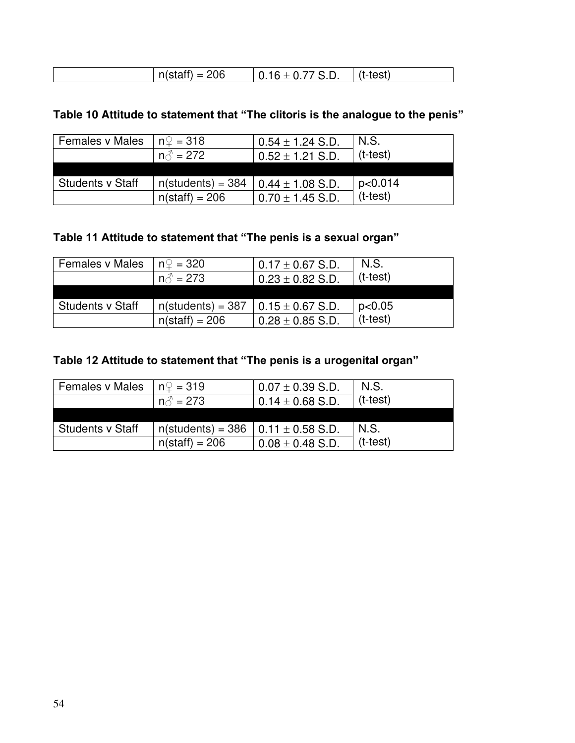| nn<br><br>-- | . .<br>. | c+1<br>_____ |
|--------------|----------|--------------|
|--------------|----------|--------------|

# **Table 10 Attitude to statement that "The clitoris is the analogue to the penis"**

| <b>Females v Males</b>  | $n\Omega = 318$      | $0.54 \pm 1.24$ S.D. | N.S.       |
|-------------------------|----------------------|----------------------|------------|
|                         | $n\textup{r} = 272$  | $0.52 \pm 1.21$ S.D. | $(t-test)$ |
|                         |                      |                      |            |
| <b>Students v Staff</b> | $n$ (students) = 384 | $0.44 \pm 1.08$ S.D. | p<0.014    |
|                         | $n(stat) = 206$      | $0.70 \pm 1.45$ S.D. | $(t-test)$ |

# **Table 11 Attitude to statement that "The penis is a sexual organ"**

| <b>Females v Males</b> | $n\mathbb{Q} = 320$  | $0.17 \pm 0.67$ S.D.  | N.S.       |
|------------------------|----------------------|-----------------------|------------|
|                        | $n\text{A}^2 = 273$  | $0.23 \pm 0.82$ S.D.  | $(t-test)$ |
|                        |                      |                       |            |
| Students v Staff       | $n$ (students) = 387 | $10.15 \pm 0.67$ S.D. | p<0.05     |
|                        | $n(stat) = 206$      | $0.28 \pm 0.85$ S.D.  | $(t-test)$ |

# **Table 12 Attitude to statement that "The penis is a urogenital organ"**

| <b>Females v Males</b> | $n\mathbb{Q} = 319$                         | $0.07 \pm 0.39$ S.D. | N.S.       |
|------------------------|---------------------------------------------|----------------------|------------|
|                        | $n\text{A}^2 = 273$                         | $0.14 \pm 0.68$ S.D. | $(t-test)$ |
|                        |                                             |                      |            |
| Students v Staff       | $n$ (students) = 386   0.11 $\pm$ 0.58 S.D. |                      | N.S.       |
|                        | $n(stat) = 206$                             | $0.08 \pm 0.48$ S.D. | $(t-test)$ |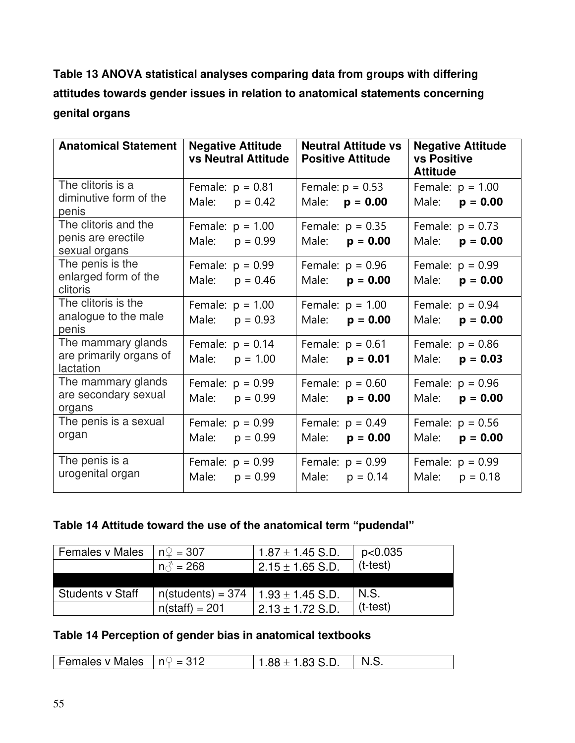**Table 13 ANOVA statistical analyses comparing data from groups with differing attitudes towards gender issues in relation to anatomical statements concerning genital organs** 

| <b>Anatomical Statement</b>                 | <b>Negative Attitude</b><br><b>vs Neutral Attitude</b> | <b>Neutral Attitude vs</b><br><b>Positive Attitude</b> | <b>Negative Attitude</b><br><b>vs Positive</b><br><b>Attitude</b> |
|---------------------------------------------|--------------------------------------------------------|--------------------------------------------------------|-------------------------------------------------------------------|
| The clitoris is a<br>diminutive form of the | Female: $p = 0.81$                                     | Female: $p = 0.53$                                     | Female: $p = 1.00$                                                |
| penis                                       | Male: $p = 0.42$                                       | Male: $p = 0.00$                                       | Male: $p = 0.00$                                                  |
| The clitoris and the                        | Female: $p = 1.00$                                     | Female: $p = 0.35$                                     | Female: $p = 0.73$                                                |
| penis are erectile<br>sexual organs         | Male: $p = 0.99$                                       | Male: $p = 0.00$                                       | Male: $p = 0.00$                                                  |
| The penis is the                            | Female: $p = 0.99$                                     | Female: $p = 0.96$                                     | Female: $p = 0.99$                                                |
| enlarged form of the<br>clitoris            | Male: $p = 0.46$                                       | Male: $p = 0.00$                                       | Male: $p = 0.00$                                                  |
| The clitoris is the                         | Female: $p = 1.00$                                     | Female: $p = 1.00$                                     | Female: $p = 0.94$                                                |
| analogue to the male<br>penis               | Male: $p = 0.93$                                       | Male: $p = 0.00$                                       | Male: $p = 0.00$                                                  |
| The mammary glands                          | Female: $p = 0.14$                                     | Female: $p = 0.61$                                     | Female: $p = 0.86$                                                |
| are primarily organs of<br>lactation        | Male: $p = 1.00$                                       | Male: $p = 0.01$                                       | $p = 0.03$<br>Male:                                               |
| The mammary glands                          | Female: $p = 0.99$                                     | Female: $p = 0.60$                                     | Female: $p = 0.96$                                                |
| are secondary sexual<br>organs              | Male: $p = 0.99$                                       | Male: $p = 0.00$                                       | Male:<br>$p = 0.00$                                               |
| The penis is a sexual                       | Female: $p = 0.99$                                     | Female: $p = 0.49$                                     | Female: $p = 0.56$                                                |
| organ                                       | Male: $p = 0.99$                                       | Male: $p = 0.00$                                       | Male:<br>$p = 0.00$                                               |
| The penis is a                              | Female: $p = 0.99$                                     | Female: $p = 0.99$                                     | Female: $p = 0.99$                                                |
| urogenital organ                            | Male: $p = 0.99$                                       | Male: $p = 0.14$                                       | Male:<br>$p = 0.18$                                               |

# **Table 14 Attitude toward the use of the anatomical term "pudendal"**

| <b>Females v Males</b>  | $n\mathbb{Q} = 307$                         | $1.87 \pm 1.45$ S.D. | p<0.035    |
|-------------------------|---------------------------------------------|----------------------|------------|
|                         | $n\textcolor{blue}{\odot} = 268$            | $2.15 \pm 1.65$ S.D. | $(t-test)$ |
|                         |                                             |                      |            |
| <b>Students v Staff</b> | $n$ (students) = 374   1.93 $\pm$ 1.45 S.D. |                      | N.S.       |
|                         | $n(stat) = 201$                             | $2.13 \pm 1.72$ S.D. | $(t-test)$ |

# **Table 14 Perception of gender bias in anatomical textbooks**

| Females v Males | $ln\phi = 312$ | $88 \pm 1.83$ S.D. |  |
|-----------------|----------------|--------------------|--|